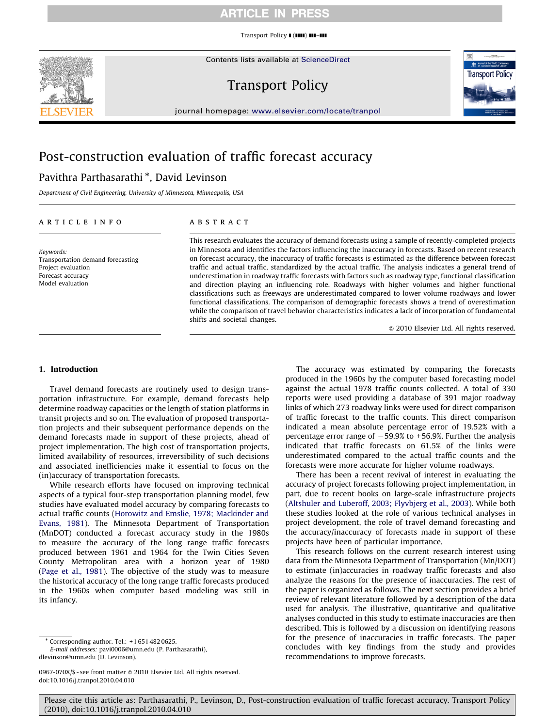Transport Policy  $\blacksquare$  ( $\blacksquare\blacksquare$ )  $\blacksquare\blacksquare\blacksquare\blacksquare$ 



Contents lists available at ScienceDirect

# Transport Policy



journal homepage: <www.elsevier.com/locate/tranpol>

# Post-construction evaluation of traffic forecast accuracy

# Pavithra Parthasarathi <sup>\*</sup>, David Levinson

Department of Civil Engineering, University of Minnesota, Minneapolis, USA

#### article info

Keywords: Transportation demand forecasting Project evaluation Forecast accuracy Model evaluation

## **ABSTRACT**

This research evaluates the accuracy of demand forecasts using a sample of recently-completed projects in Minnesota and identifies the factors influencing the inaccuracy in forecasts. Based on recent research on forecast accuracy, the inaccuracy of traffic forecasts is estimated as the difference between forecast traffic and actual traffic, standardized by the actual traffic. The analysis indicates a general trend of underestimation in roadway traffic forecasts with factors such as roadway type, functional classification and direction playing an influencing role. Roadways with higher volumes and higher functional classifications such as freeways are underestimated compared to lower volume roadways and lower functional classifications. The comparison of demographic forecasts shows a trend of overestimation while the comparison of travel behavior characteristics indicates a lack of incorporation of fundamental shifts and societal changes.

 $©$  2010 Elsevier Ltd. All rights reserved.

### 1. Introduction

Travel demand forecasts are routinely used to design transportation infrastructure. For example, demand forecasts help determine roadway capacities or the length of station platforms in transit projects and so on. The evaluation of proposed transportation projects and their subsequent performance depends on the demand forecasts made in support of these projects, ahead of project implementation. The high cost of transportation projects, limited availability of resources, irreversibility of such decisions and associated inefficiencies make it essential to focus on the (in)accuracy of transportation forecasts.

While research efforts have focused on improving technical aspects of a typical four-step transportation planning model, few studies have evaluated model accuracy by comparing forecasts to actual traffic counts [\(Horowitz and Emslie, 1978; Mackinder and](#page-15-0) [Evans, 1981](#page-15-0)). The Minnesota Department of Transportation (MnDOT) conducted a forecast accuracy study in the 1980s to measure the accuracy of the long range traffic forecasts produced between 1961 and 1964 for the Twin Cities Seven County Metropolitan area with a horizon year of 1980 ([Page et al., 1981](#page-15-0)). The objective of the study was to measure the historical accuracy of the long range traffic forecasts produced in the 1960s when computer based modeling was still in its infancy.

-Corresponding author. Tel.: +1 651 482 0625.

E-mail addresses: [pavi0006@umn.edu \(P. Parthasarathi\)](mailto:pavi0006@umn.edu), [dlevinson@umn.edu \(D. Levinson\)](mailto:dlevinson@umn.edu).

The accuracy was estimated by comparing the forecasts produced in the 1960s by the computer based forecasting model against the actual 1978 traffic counts collected. A total of 330 reports were used providing a database of 391 major roadway links of which 273 roadway links were used for direct comparison of traffic forecast to the traffic counts. This direct comparison indicated a mean absolute percentage error of 19.52% with a percentage error range of  $-59.9\%$  to  $+56.9\%$ . Further the analysis indicated that traffic forecasts on 61.5% of the links were underestimated compared to the actual traffic counts and the forecasts were more accurate for higher volume roadways.

There has been a recent revival of interest in evaluating the accuracy of project forecasts following project implementation, in part, due to recent books on large-scale infrastructure projects ([Altshuler and Luberoff, 2003; Flyvbjerg et al., 2003](#page-14-0)). While both these studies looked at the role of various technical analyses in project development, the role of travel demand forecasting and the accuracy/inaccuracy of forecasts made in support of these projects have been of particular importance.

This research follows on the current research interest using data from the Minnesota Department of Transportation (Mn/DOT) to estimate (in)accuracies in roadway traffic forecasts and also analyze the reasons for the presence of inaccuracies. The rest of the paper is organized as follows. The next section provides a brief review of relevant literature followed by a description of the data used for analysis. The illustrative, quantitative and qualitative analyses conducted in this study to estimate inaccuracies are then described. This is followed by a discussion on identifying reasons for the presence of inaccuracies in traffic forecasts. The paper concludes with key findings from the study and provides recommendations to improve forecasts.

<sup>0967-070</sup>X/\$ - see front matter @ 2010 Elsevier Ltd. All rights reserved. doi:[10.1016/j.tranpol.2010.04.010](dx.doi.org/10.1016/j.tranpol.2010.04.010)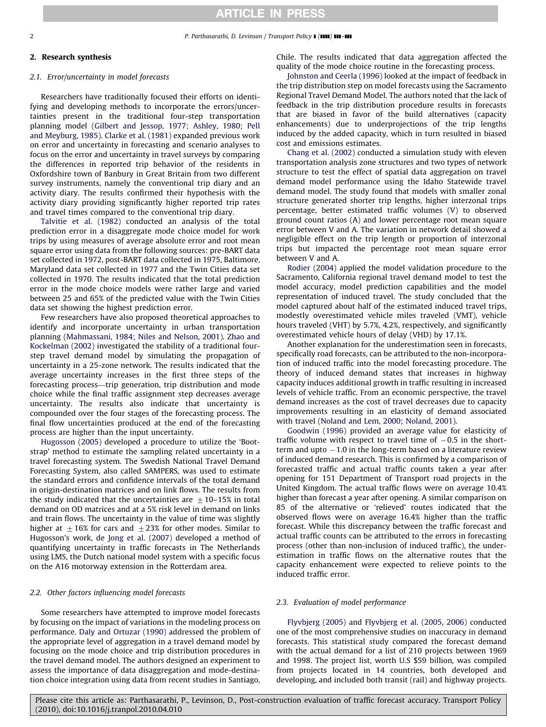#### 2 P. Parthasarathi, D. Levinson / Transport Policy  $\blacksquare$  ( $\blacksquare$ )  $\blacksquare$

#### 2. Research synthesis

#### 2.1. Error/uncertainty in model forecasts

Researchers have traditionally focused their efforts on identifying and developing methods to incorporate the errors/uncertainties present in the traditional four-step transportation planning model [\(Gilbert and Jessop, 1977; Ashley, 1980; Pell](#page-14-0) [and Meyburg, 1985](#page-14-0)). [Clarke et al. \(1981\)](#page-14-0) expanded previous work on error and uncertainty in forecasting and scenario analyses to focus on the error and uncertainty in travel surveys by comparing the differences in reported trip behavior of the residents in Oxfordshire town of Banbury in Great Britain from two different survey instruments, namely the conventional trip diary and an activity diary. The results confirmed their hypothesis with the activity diary providing significantly higher reported trip rates and travel times compared to the conventional trip diary.

[Talvitie et al. \(1982\)](#page-15-0) conducted an analysis of the total prediction error in a disaggregate mode choice model for work trips by using measures of average absolute error and root mean square error using data from the following sources: pre-BART data set collected in 1972, post-BART data collected in 1975, Baltimore, Maryland data set collected in 1977 and the Twin Cities data set collected in 1970. The results indicated that the total prediction error in the mode choice models were rather large and varied between 25 and 65% of the predicted value with the Twin Cities data set showing the highest prediction error.

Few researchers have also proposed theoretical approaches to identify and incorporate uncertainty in urban transportation planning [\(Mahmassani, 1984; Niles and Nelson, 2001](#page-15-0)). [Zhao and](#page-15-0) [Kockelman \(2002\)](#page-15-0) investigated the stability of a traditional fourstep travel demand model by simulating the propagation of uncertainty in a 25-zone network. The results indicated that the average uncertainty increases in the first three steps of the forecasting process—trip generation, trip distribution and mode choice while the final traffic assignment step decreases average uncertainty. The results also indicate that uncertainty is compounded over the four stages of the forecasting process. The final flow uncertainties produced at the end of the forecasting process are higher than the input uncertainty.

[Hugosson \(2005\)](#page-15-0) developed a procedure to utilize the 'Bootstrap' method to estimate the sampling related uncertainty in a travel forecasting system. The Swedish National Travel Demand Forecasting System, also called SAMPERS, was used to estimate the standard errors and confidence intervals of the total demand in origin-destination matrices and on link flows. The results from the study indicated that the uncertainties are  $\pm$  10–15% in total demand on OD matrices and at a 5% risk level in demand on links and train flows. The uncertainty in the value of time was slightly higher at  $\pm 16\%$  for cars and  $\pm 23\%$  for other modes. Similar to Hugosson's work, [de Jong et al. \(2007\)](#page-14-0) developed a method of quantifying uncertainty in traffic forecasts in The Netherlands using LMS, the Dutch national model system with a specific focus on the A16 motorway extension in the Rotterdam area.

### 2.2. Other factors influencing model forecasts

Some researchers have attempted to improve model forecasts by focusing on the impact of variations in the modeling process on performance. [Daly and Ortuzar \(1990\)](#page-14-0) addressed the problem of the appropriate level of aggregation in a travel demand model by focusing on the mode choice and trip distribution procedures in the travel demand model. The authors designed an experiment to assess the importance of data disaggregation and mode-destination choice integration using data from recent studies in Santiago, Chile. The results indicated that data aggregation affected the quality of the mode choice routine in the forecasting process.

[Johnston and Ceerla \(1996\)](#page-15-0) looked at the impact of feedback in the trip distribution step on model forecasts using the Sacramento Regional Travel Demand Model. The authors noted that the lack of feedback in the trip distribution procedure results in forecasts that are biased in favor of the build alternatives (capacity enhancements) due to underprojections of the trip lengths induced by the added capacity, which in turn resulted in biased cost and emissions estimates.

[Chang et al. \(2002\)](#page-14-0) conducted a simulation study with eleven transportation analysis zone structures and two types of network structure to test the effect of spatial data aggregation on travel demand model performance using the Idaho Statewide travel demand model. The study found that models with smaller zonal structure generated shorter trip lengths, higher interzonal trips percentage, better estimated traffic volumes (V) to observed ground count ratios (A) and lower percentage root mean square error between V and A. The variation in network detail showed a negligible effect on the trip length or proportion of interzonal trips but impacted the percentage root mean square error between V and A.

[Rodier \(2004\)](#page-15-0) applied the model validation procedure to the Sacramento, California regional travel demand model to test the model accuracy, model prediction capabilities and the model representation of induced travel. The study concluded that the model captured about half of the estimated induced travel trips, modestly overestimated vehicle miles traveled (VMT), vehicle hours traveled (VHT) by 5.7%, 4.2%, respectively, and significantly overestimated vehicle hours of delay (VHD) by 17.1%.

Another explanation for the underestimation seen in forecasts, specifically road forecasts, can be attributed to the non-incorporation of induced traffic into the model forecasting procedure. The theory of induced demand states that increases in highway capacity induces additional growth in traffic resulting in increased levels of vehicle traffic. From an economic perspective, the travel demand increases as the cost of travel decreases due to capacity improvements resulting in an elasticity of demand associated with travel [\(Noland and Lem, 2000; Noland, 2001](#page-15-0)).

[Goodwin \(1996\)](#page-15-0) provided an average value for elasticity of traffic volume with respect to travel time of  $-0.5$  in the short $term$  and upto  $-1.0$  in the long-term based on a literature review of induced demand research. This is confirmed by a comparison of forecasted traffic and actual traffic counts taken a year after opening for 151 Department of Transport road projects in the United Kingdom. The actual traffic flows were on average 10.4% higher than forecast a year after opening. A similar comparison on 85 of the alternative or 'relieved' routes indicated that the observed flows were on average 16.4% higher than the traffic forecast. While this discrepancy between the traffic forecast and actual traffic counts can be attributed to the errors in forecasting process (other than non-inclusion of induced traffic), the underestimation in traffic flows on the alternative routes that the capacity enhancement were expected to relieve points to the induced traffic error.

#### 2.3. Evaluation of model performance

[Flyvbjerg \(2005\)](#page-14-0) and [Flyvbjerg et al. \(2005, 2006\)](#page-14-0) conducted one of the most comprehensive studies on inaccuracy in demand forecasts. This statistical study compared the forecast demand with the actual demand for a list of 210 projects between 1969 and 1998. The project list, worth U.S \$59 billion, was compiled from projects located in 14 countries, both developed and developing, and included both transit (rail) and highway projects.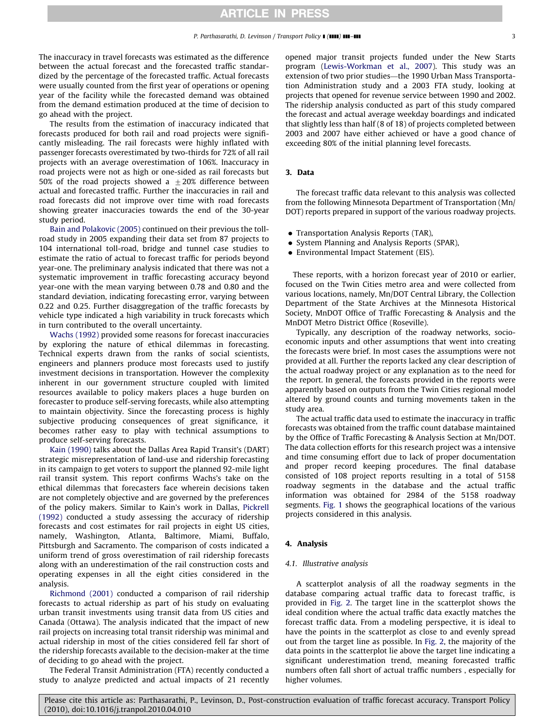The inaccuracy in travel forecasts was estimated as the difference between the actual forecast and the forecasted traffic standardized by the percentage of the forecasted traffic. Actual forecasts were usually counted from the first year of operations or opening year of the facility while the forecasted demand was obtained from the demand estimation produced at the time of decision to go ahead with the project.

The results from the estimation of inaccuracy indicated that forecasts produced for both rail and road projects were significantly misleading. The rail forecasts were highly inflated with passenger forecasts overestimated by two-thirds for 72% of all rail projects with an average overestimation of 106%. Inaccuracy in road projects were not as high or one-sided as rail forecasts but 50% of the road projects showed a  $\pm 20$ % difference between actual and forecasted traffic. Further the inaccuracies in rail and road forecasts did not improve over time with road forecasts showing greater inaccuracies towards the end of the 30-year study period.

[Bain and Polakovic \(2005\)](#page-14-0) continued on their previous the tollroad study in 2005 expanding their data set from 87 projects to 104 international toll-road, bridge and tunnel case studies to estimate the ratio of actual to forecast traffic for periods beyond year-one. The preliminary analysis indicated that there was not a systematic improvement in traffic forecasting accuracy beyond year-one with the mean varying between 0.78 and 0.80 and the standard deviation, indicating forecasting error, varying between 0.22 and 0.25. Further disaggregation of the traffic forecasts by vehicle type indicated a high variability in truck forecasts which in turn contributed to the overall uncertainty.

[Wachs \(1992\)](#page-15-0) provided some reasons for forecast inaccuracies by exploring the nature of ethical dilemmas in forecasting. Technical experts drawn from the ranks of social scientists, engineers and planners produce most forecasts used to justify investment decisions in transportation. However the complexity inherent in our government structure coupled with limited resources available to policy makers places a huge burden on forecaster to produce self-serving forecasts, while also attempting to maintain objectivity. Since the forecasting process is highly subjective producing consequences of great significance, it becomes rather easy to play with technical assumptions to produce self-serving forecasts.

[Kain \(1990\)](#page-15-0) talks about the Dallas Area Rapid Transit's (DART) strategic misrepresentation of land-use and ridership forecasting in its campaign to get voters to support the planned 92-mile light rail transit system. This report confirms Wachs's take on the ethical dilemmas that forecasters face wherein decisions taken are not completely objective and are governed by the preferences of the policy makers. Similar to Kain's work in Dallas, [Pickrell](#page-15-0) [\(1992\)](#page-15-0) conducted a study assessing the accuracy of ridership forecasts and cost estimates for rail projects in eight US cities, namely, Washington, Atlanta, Baltimore, Miami, Buffalo, Pittsburgh and Sacramento. The comparison of costs indicated a uniform trend of gross overestimation of rail ridership forecasts along with an underestimation of the rail construction costs and operating expenses in all the eight cities considered in the analysis.

[Richmond \(2001\)](#page-15-0) conducted a comparison of rail ridership forecasts to actual ridership as part of his study on evaluating urban transit investments using transit data from US cities and Canada (Ottawa). The analysis indicated that the impact of new rail projects on increasing total transit ridership was minimal and actual ridership in most of the cities considered fell far short of the ridership forecasts available to the decision-maker at the time of deciding to go ahead with the project.

The Federal Transit Administration (FTA) recently conducted a study to analyze predicted and actual impacts of 21 recently opened major transit projects funded under the New Starts program [\(Lewis-Workman et al., 2007\)](#page-15-0). This study was an extension of two prior studies—the 1990 Urban Mass Transportation Administration study and a 2003 FTA study, looking at projects that opened for revenue service between 1990 and 2002. The ridership analysis conducted as part of this study compared the forecast and actual average weekday boardings and indicated that slightly less than half (8 of 18) of projects completed between 2003 and 2007 have either achieved or have a good chance of exceeding 80% of the initial planning level forecasts.

### 3. Data

The forecast traffic data relevant to this analysis was collected from the following Minnesota Department of Transportation (Mn/ DOT) reports prepared in support of the various roadway projects.

- Transportation Analysis Reports (TAR),
- System Planning and Analysis Reports (SPAR),
- Environmental Impact Statement (EIS).

These reports, with a horizon forecast year of 2010 or earlier, focused on the Twin Cities metro area and were collected from various locations, namely, Mn/DOT Central Library, the Collection Department of the State Archives at the Minnesota Historical Society, MnDOT Office of Traffic Forecasting & Analysis and the MnDOT Metro District Office (Roseville).

Typically, any description of the roadway networks, socioeconomic inputs and other assumptions that went into creating the forecasts were brief. In most cases the assumptions were not provided at all. Further the reports lacked any clear description of the actual roadway project or any explanation as to the need for the report. In general, the forecasts provided in the reports were apparently based on outputs from the Twin Cities regional model altered by ground counts and turning movements taken in the study area.

The actual traffic data used to estimate the inaccuracy in traffic forecasts was obtained from the traffic count database maintained by the Office of Traffic Forecasting & Analysis Section at Mn/DOT. The data collection efforts for this research project was a intensive and time consuming effort due to lack of proper documentation and proper record keeping procedures. The final database consisted of 108 project reports resulting in a total of 5158 roadway segments in the database and the actual traffic information was obtained for 2984 of the 5158 roadway segments. [Fig. 1](#page-3-0) shows the geographical locations of the various projects considered in this analysis.

#### 4. Analysis

#### 4.1. Illustrative analysis

A scatterplot analysis of all the roadway segments in the database comparing actual traffic data to forecast traffic, is provided in [Fig. 2](#page-3-0). The target line in the scatterplot shows the ideal condition where the actual traffic data exactly matches the forecast traffic data. From a modeling perspective, it is ideal to have the points in the scatterplot as close to and evenly spread out from the target line as possible. In [Fig. 2](#page-3-0), the majority of the data points in the scatterplot lie above the target line indicating a significant underestimation trend, meaning forecasted traffic numbers often fall short of actual traffic numbers , especially for higher volumes.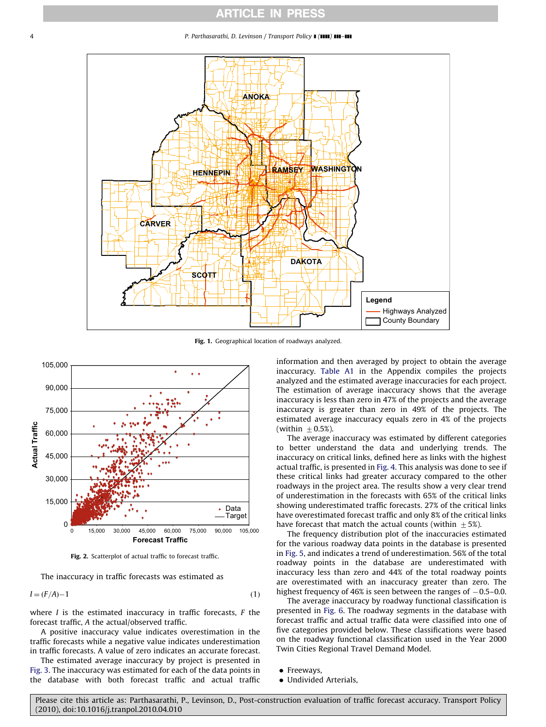#### <span id="page-3-0"></span>4 P. Parthasarathi, D. Levinson / Transport Policy **I** (IIII) **III–III**



Fig. 1. Geographical location of roadways analyzed.



Fig. 2. Scatterplot of actual traffic to forecast traffic.

The inaccuracy in traffic forecasts was estimated as

 $I = (F/A) - 1$ 1  $(1)$ 

where  $I$  is the estimated inaccuracy in traffic forecasts,  $F$  the forecast traffic, A the actual/observed traffic.

A positive inaccuracy value indicates overestimation in the traffic forecasts while a negative value indicates underestimation in traffic forecasts. A value of zero indicates an accurate forecast.

The estimated average inaccuracy by project is presented in [Fig. 3.](#page-4-0) The inaccuracy was estimated for each of the data points in the database with both forecast traffic and actual traffic

information and then averaged by project to obtain the average inaccuracy. [Table A1](#page-11-0) in the Appendix compiles the projects analyzed and the estimated average inaccuracies for each project. The estimation of average inaccuracy shows that the average inaccuracy is less than zero in 47% of the projects and the average inaccuracy is greater than zero in 49% of the projects. The estimated average inaccuracy equals zero in 4% of the projects (within  $\pm$  0.5%).

The average inaccuracy was estimated by different categories to better understand the data and underlying trends. The inaccuracy on critical links, defined here as links with the highest actual traffic, is presented in [Fig. 4](#page-4-0). This analysis was done to see if these critical links had greater accuracy compared to the other roadways in the project area. The results show a very clear trend of underestimation in the forecasts with 65% of the critical links showing underestimated traffic forecasts. 27% of the critical links have overestimated forecast traffic and only 8% of the critical links have forecast that match the actual counts (within  $\pm$  5%).

The frequency distribution plot of the inaccuracies estimated for the various roadway data points in the database is presented in [Fig. 5](#page-5-0), and indicates a trend of underestimation. 56% of the total roadway points in the database are underestimated with inaccuracy less than zero and 44% of the total roadway points are overestimated with an inaccuracy greater than zero. The highest frequency of 46% is seen between the ranges of  $-0.5-0.0$ .

The average inaccuracy by roadway functional classification is presented in [Fig. 6](#page-5-0). The roadway segments in the database with forecast traffic and actual traffic data were classified into one of five categories provided below. These classifications were based on the roadway functional classification used in the Year 2000 Twin Cities Regional Travel Demand Model.

- Freeways,
- Undivided Arterials,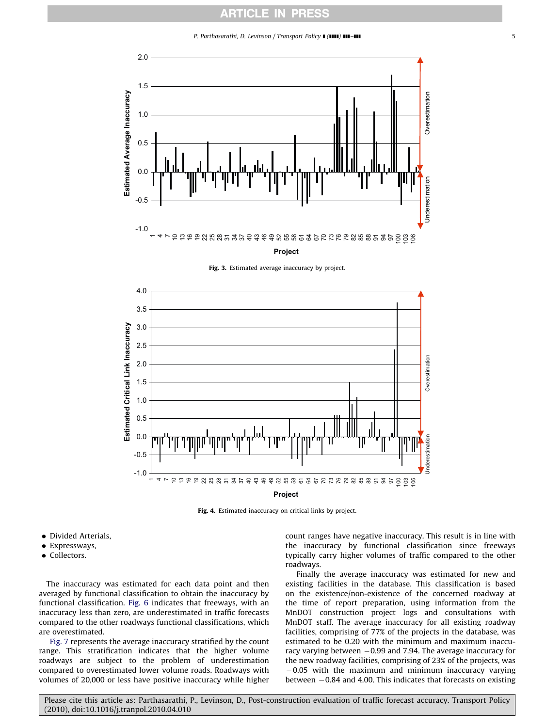P. Parthasarathi, D. Levinson / Transport Policy  $\blacksquare$  ( $\blacksquare$ )  $\blacksquare$ 

<span id="page-4-0"></span>

Fig. 3. Estimated average inaccuracy by project.



Fig. 4. Estimated inaccuracy on critical links by project.

- Divided Arterials,
- Expressways,
- Collectors.

The inaccuracy was estimated for each data point and then averaged by functional classification to obtain the inaccuracy by functional classification. [Fig. 6](#page-5-0) indicates that freeways, with an inaccuracy less than zero, are underestimated in traffic forecasts compared to the other roadways functional classifications, which are overestimated.

[Fig. 7](#page-6-0) represents the average inaccuracy stratified by the count range. This stratification indicates that the higher volume roadways are subject to the problem of underestimation compared to overestimated lower volume roads. Roadways with volumes of 20,000 or less have positive inaccuracy while higher count ranges have negative inaccuracy. This result is in line with the inaccuracy by functional classification since freeways typically carry higher volumes of traffic compared to the other roadways.

Finally the average inaccuracy was estimated for new and existing facilities in the database. This classification is based on the existence/non-existence of the concerned roadway at the time of report preparation, using information from the MnDOT construction project logs and consultations with MnDOT staff. The average inaccuracy for all existing roadway facilities, comprising of 77% of the projects in the database, was estimated to be 0.20 with the minimum and maximum inaccuracy varying between  $-0.99$  and 7.94. The average inaccuracy for the new roadway facilities, comprising of 23% of the projects, was -0.05 with the maximum and minimum inaccuracy varying between  $-0.84$  and 4.00. This indicates that forecasts on existing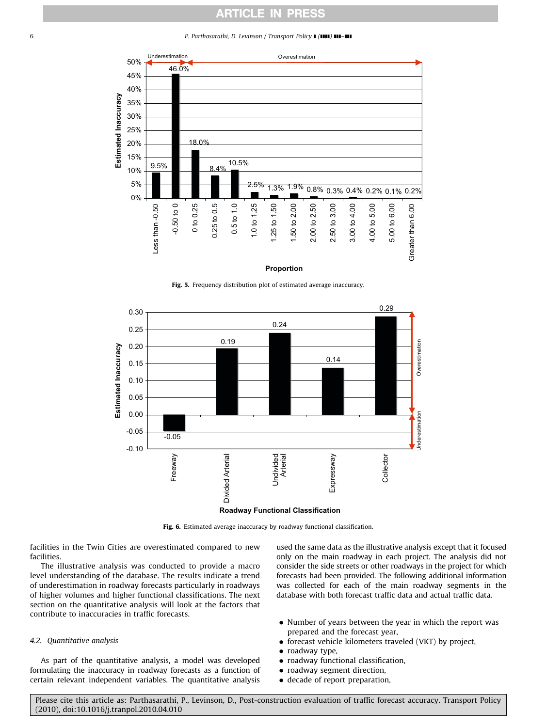#### <span id="page-5-0"></span>6 **P. Parthasarathi, D. Levinson / Transport Policy | (1111) 111-111**



### **Proportion**

Fig. 5. Frequency distribution plot of estimated average inaccuracy.



Fig. 6. Estimated average inaccuracy by roadway functional classification.

facilities in the Twin Cities are overestimated compared to new facilities.

The illustrative analysis was conducted to provide a macro level understanding of the database. The results indicate a trend of underestimation in roadway forecasts particularly in roadways of higher volumes and higher functional classifications. The next section on the quantitative analysis will look at the factors that contribute to inaccuracies in traffic forecasts.

## 4.2. Quantitative analysis

As part of the quantitative analysis, a model was developed formulating the inaccuracy in roadway forecasts as a function of certain relevant independent variables. The quantitative analysis used the same data as the illustrative analysis except that it focused only on the main roadway in each project. The analysis did not consider the side streets or other roadways in the project for which forecasts had been provided. The following additional information was collected for each of the main roadway segments in the database with both forecast traffic data and actual traffic data.

- Number of years between the year in which the report was prepared and the forecast year,
- forecast vehicle kilometers traveled (VKT) by project,
- roadway type,
- roadway functional classification,
- roadway segment direction,
- decade of report preparation,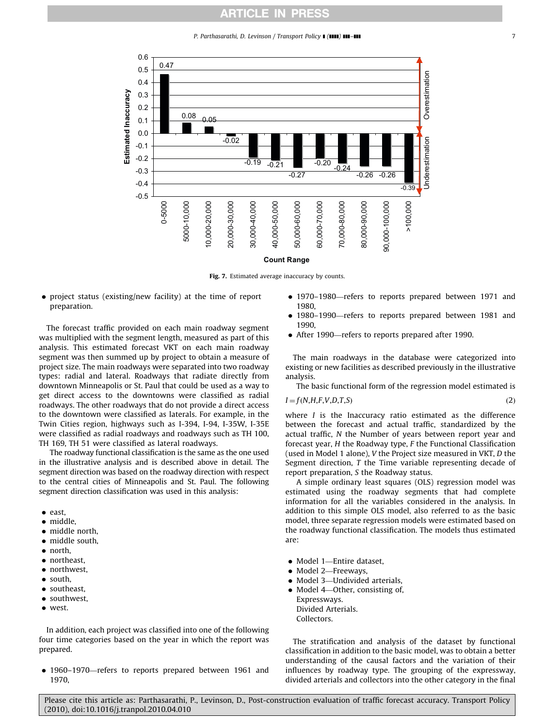P. Parthasarathi, D. Levinson / Transport Policy **| (1111) ||11-111**  $\qquad \qquad$  7

<span id="page-6-0"></span>

### **Count Range**

Fig. 7. Estimated average inaccuracy by counts.

 project status (existing/new facility) at the time of report preparation.

The forecast traffic provided on each main roadway segment was multiplied with the segment length, measured as part of this analysis. This estimated forecast VKT on each main roadway segment was then summed up by project to obtain a measure of project size. The main roadways were separated into two roadway types: radial and lateral. Roadways that radiate directly from downtown Minneapolis or St. Paul that could be used as a way to get direct access to the downtowns were classified as radial roadways. The other roadways that do not provide a direct access to the downtown were classified as laterals. For example, in the Twin Cities region, highways such as I-394, I-94, I-35W, I-35E were classified as radial roadways and roadways such as TH 100, TH 169, TH 51 were classified as lateral roadways.

The roadway functional classification is the same as the one used in the illustrative analysis and is described above in detail. The segment direction was based on the roadway direction with respect to the central cities of Minneapolis and St. Paul. The following segment direction classification was used in this analysis:

- east,
- middle.
- middle north,
- middle south,
- north.
- northeast.
- northwest,
- south,
- southeast,
- southwest,
- $\bullet$  west.

In addition, each project was classified into one of the following four time categories based on the year in which the report was prepared.

 1960–1970—refers to reports prepared between 1961 and 1970,

- 1970–1980—refers to reports prepared between 1971 and 1980,
- 1980–1990—refers to reports prepared between 1981 and 1990,
- After 1990—refers to reports prepared after 1990.

The main roadways in the database were categorized into existing or new facilities as described previously in the illustrative analysis.

The basic functional form of the regression model estimated is

$$
I = f(N, H, F, V, D, T, S) \tag{2}
$$

where *I* is the Inaccuracy ratio estimated as the difference between the forecast and actual traffic, standardized by the actual traffic, N the Number of years between report year and forecast year, H the Roadway type, F the Functional Classification (used in Model 1 alone), V the Project size measured in VKT, D the Segment direction, T the Time variable representing decade of report preparation, S the Roadway status.

A simple ordinary least squares (OLS) regression model was estimated using the roadway segments that had complete information for all the variables considered in the analysis. In addition to this simple OLS model, also referred to as the basic model, three separate regression models were estimated based on the roadway functional classification. The models thus estimated are:

- Model 1—Entire dataset,
- Model 2-Freeways,
- Model 3—Undivided arterials,
- Model 4-Other, consisting of, Expressways.
- Divided Arterials. Collectors.

The stratification and analysis of the dataset by functional classification in addition to the basic model, was to obtain a better understanding of the causal factors and the variation of their influences by roadway type. The grouping of the expressway, divided arterials and collectors into the other category in the final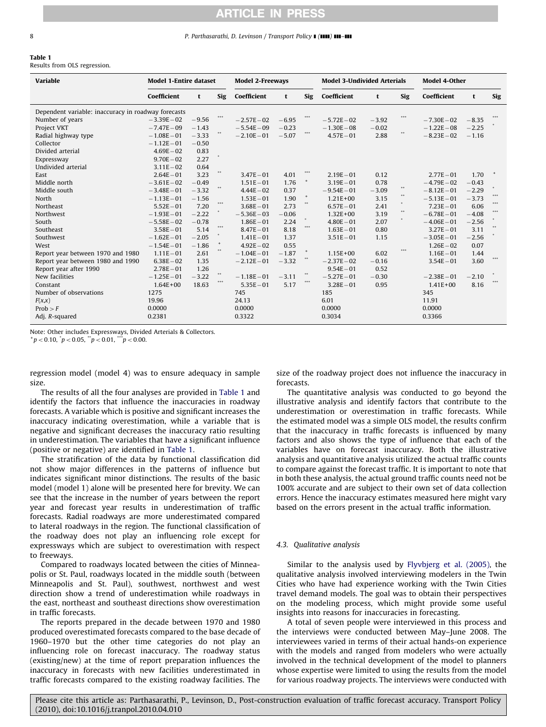#### 8 P. Parthasarathi, D. Levinson / Transport Policy ■ (1111) 111-111

#### Table 1

Results from OLS regression.

| <b>Variable</b>                                     | <b>Model 1-Entire dataset</b> |         |                                              | <b>Model 2-Freeways</b> |         |                                  | <b>Model 3-Undivided Arterials</b> |         |                  | <b>Model 4-Other</b> |         |            |  |
|-----------------------------------------------------|-------------------------------|---------|----------------------------------------------|-------------------------|---------|----------------------------------|------------------------------------|---------|------------------|----------------------|---------|------------|--|
|                                                     | Coefficient                   | t       | <b>Sig</b>                                   | Coefficient             | t       | Sig                              | Coefficient                        | t       | <b>Sig</b>       | Coefficient          | t       | <b>Sig</b> |  |
| Dependent variable: inaccuracy in roadway forecasts |                               |         |                                              |                         |         |                                  |                                    |         |                  |                      |         |            |  |
| Number of years                                     | $-3.39E - 02$                 | $-9.56$ | ***                                          | $-2.57E-02$             | $-6.95$ |                                  | $-5.72E - 02$                      | $-3.92$ |                  | $-7.30E - 02$        | $-8.35$ |            |  |
| Project VKT                                         | $-7.47E - 09$                 | $-1.43$ |                                              | $-5.54E - 09$           | $-0.23$ |                                  | $-1.30E - 08$                      | $-0.02$ |                  | $-1.22E - 08$        | $-2.25$ |            |  |
| Radial highway type                                 | $-1.08E - 01$                 | $-3.33$ |                                              | $-2.10E - 01$           | $-5.07$ | 0.00                             | $4.57E - 01$                       | 2.88    | $400$            | $-8.23E - 02$        | $-1.16$ |            |  |
| Collector                                           | $-1.12E - 01$                 | $-0.50$ |                                              |                         |         |                                  |                                    |         |                  |                      |         |            |  |
| Divided arterial                                    | $4.69E - 02$                  | 0.83    |                                              |                         |         |                                  |                                    |         |                  |                      |         |            |  |
| Expressway                                          | $9.70E - 02$                  | 2.27    |                                              |                         |         |                                  |                                    |         |                  |                      |         |            |  |
| Undivided arterial                                  | $3.11E - 02$                  | 0.64    |                                              |                         |         |                                  |                                    |         |                  |                      |         |            |  |
| East                                                | $2.64E - 01$                  | 3.23    | $\bullet\hspace{-.1cm}\bullet\hspace{-.1cm}$ | $3.47E - 01$            | 4.01    | ***                              | $2.19E - 01$                       | 0.12    |                  | $2.77E - 01$         | 1.70    |            |  |
| Middle north                                        | $-3.61E - 02$                 | $-0.49$ |                                              | $1.51E - 01$            | 1.76    | $^{\mathrm{+}}$                  | $3.19E - 01$                       | 0.78    |                  | $-4.79E - 02$        | $-0.43$ |            |  |
| Middle south                                        | $-3.48E - 01$                 | $-3.32$ |                                              | $4.44E - 02$            | 0.37    |                                  | $-9.54E - 01$                      | $-3.09$ | $\bullet\bullet$ | $-8.12E - 01$        | $-2.29$ |            |  |
| North                                               | $-1.13E - 01$                 | $-1.56$ |                                              | $1.53E - 01$            | 1.90    | $^{\mathrm{+}}$                  | $1.21E + 00$                       | 3.15    | $\approx 0$      | $-5.13E - 01$        | $-3.73$ | 0.00       |  |
| Northeast                                           | $5.52E - 01$                  | 7.20    | 646                                          | $3.68E - 01$            | 2.73    |                                  | $6.57E - 01$                       | 2.41    |                  | $7.23E - 01$         | 6.06    | 666        |  |
| Northwest                                           | $-1.93E - 01$                 | $-2.22$ |                                              | $-5.36E - 03$           | $-0.06$ |                                  | $1.32E + 00$                       | 3.19    | $400$            | $-6.78E - 01$        | $-4.08$ | 0.00       |  |
| South                                               | $-5.58E - 02$                 | $-0.78$ |                                              | $1.86E - 01$            | 2.24    |                                  | $4.80E - 01$                       | 2.07    | $\bullet$        | $-4.06E - 01$        | $-2.56$ |            |  |
| Southeast                                           | $3.58E - 01$                  | 5.14    | $-0.00$                                      | $8.47E - 01$            | 8.18    | 0.00                             | $1.63E - 01$                       | 0.80    |                  | $3.27E - 01$         | 3.11    |            |  |
| Southwest                                           | $-1.62E - 01$                 | $-2.05$ |                                              | $1.41E - 01$            | 1.37    |                                  | $3.51E - 01$                       | 1.15    |                  | $-3.05E - 01$        | $-2.56$ |            |  |
| West                                                | $-1.54E - 01$                 | $-1.86$ | $\ddot{}$                                    | $4.92E - 02$            | 0.55    |                                  |                                    |         |                  | $1.26E - 02$         | 0.07    |            |  |
| Report year between 1970 and 1980                   | $1.11E - 01$                  | 2.61    |                                              | $-1.04E - 01$           | $-1.87$ | $\begin{array}{c} + \end{array}$ | $1.15E + 00$                       | 6.02    | 444              | $1.16E - 01$         | 1.44    |            |  |
| Report year between 1980 and 1990                   | $6.38E - 02$                  | 1.35    |                                              | $-2.12E - 01$           | $-3.32$ |                                  | $-2.37E - 02$                      | $-0.16$ |                  | $3.54E - 01$         | 3.60    | ***        |  |
| Report year after 1990                              | $2.78E - 01$                  | 1.26    |                                              |                         |         |                                  | $9.54E - 01$                       | 0.52    |                  |                      |         |            |  |
| New facilities                                      | $-1.25E - 01$                 | $-3.22$ | $\Phi\Phi$                                   | $-1.18E - 01$           | $-3.11$ | $\bullet\bullet$                 | $-5.27E - 01$                      | $-0.30$ |                  | $-2.38E - 01$        | $-2.10$ |            |  |
| Constant                                            | $1.64E + 00$                  | 18.63   | ***                                          | $5.35E - 01$            | 5.17    | 0.00                             | $3.28E - 01$                       | 0.95    |                  | $1.41E + 00$         | 8.16    |            |  |
| Number of observations                              | 1275                          |         |                                              | 745                     |         |                                  | 185                                |         |                  | 345                  |         |            |  |
| F(x,x)                                              | 19.96                         |         |                                              | 24.13                   |         |                                  | 6.01                               |         |                  | 11.91                |         |            |  |
| Prob > F                                            | 0.0000                        |         |                                              | 0.0000                  |         |                                  | 0.0000                             |         |                  | 0.0000               |         |            |  |
| Adj. R-squared                                      | 0.2381                        |         |                                              | 0.3322                  |         |                                  | 0.3034                             |         |                  | 0.3366               |         |            |  |

Note: Other includes Expressways, Divided Arterials & Collectors.  $p^+p$  < 0.10,  $\dot{p}$  < 0.05,  $\ddot{p}$  < 0.01,  $\ddot{p}$  < 0.00.

regression model (model 4) was to ensure adequacy in sample size.

The results of all the four analyses are provided in Table 1 and identify the factors that influence the inaccuracies in roadway forecasts. A variable which is positive and significant increases the inaccuracy indicating overestimation, while a variable that is negative and significant decreases the inaccuracy ratio resulting in underestimation. The variables that have a significant influence (positive or negative) are identified in Table 1.

The stratification of the data by functional classification did not show major differences in the patterns of influence but indicates significant minor distinctions. The results of the basic model (model 1) alone will be presented here for brevity. We can see that the increase in the number of years between the report year and forecast year results in underestimation of traffic forecasts. Radial roadways are more underestimated compared to lateral roadways in the region. The functional classification of the roadway does not play an influencing role except for expressways which are subject to overestimation with respect to freeways.

Compared to roadways located between the cities of Minneapolis or St. Paul, roadways located in the middle south (between Minneapolis and St. Paul), southwest, northwest and west direction show a trend of underestimation while roadways in the east, northeast and southeast directions show overestimation in traffic forecasts.

The reports prepared in the decade between 1970 and 1980 produced overestimated forecasts compared to the base decade of 1960–1970 but the other time categories do not play an influencing role on forecast inaccuracy. The roadway status (existing/new) at the time of report preparation influences the inaccuracy in forecasts with new facilities underestimated in traffic forecasts compared to the existing roadway facilities. The size of the roadway project does not influence the inaccuracy in forecasts.

The quantitative analysis was conducted to go beyond the illustrative analysis and identify factors that contribute to the underestimation or overestimation in traffic forecasts. While the estimated model was a simple OLS model, the results confirm that the inaccuracy in traffic forecasts is influenced by many factors and also shows the type of influence that each of the variables have on forecast inaccuracy. Both the illustrative analysis and quantitative analysis utilized the actual traffic counts to compare against the forecast traffic. It is important to note that in both these analysis, the actual ground traffic counts need not be 100% accurate and are subject to their own set of data collection errors. Hence the inaccuracy estimates measured here might vary based on the errors present in the actual traffic information.

### 4.3. Qualitative analysis

Similar to the analysis used by [Flyvbjerg et al. \(2005\)](#page-14-0), the qualitative analysis involved interviewing modelers in the Twin Cities who have had experience working with the Twin Cities travel demand models. The goal was to obtain their perspectives on the modeling process, which might provide some useful insights into reasons for inaccuracies in forecasting.

A total of seven people were interviewed in this process and the interviews were conducted between May–June 2008. The interviewees varied in terms of their actual hands-on experience with the models and ranged from modelers who were actually involved in the technical development of the model to planners whose expertise were limited to using the results from the model for various roadway projects. The interviews were conducted with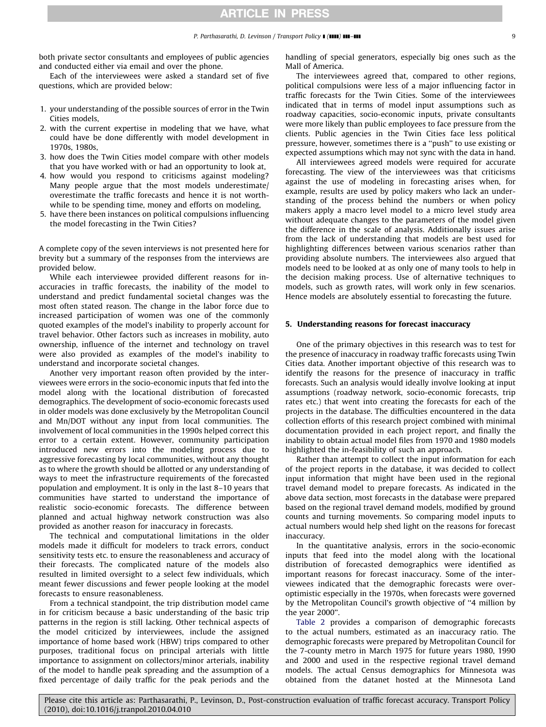both private sector consultants and employees of public agencies and conducted either via email and over the phone.

Each of the interviewees were asked a standard set of five questions, which are provided below:

- 1. your understanding of the possible sources of error in the Twin Cities models,
- 2. with the current expertise in modeling that we have, what could have be done differently with model development in 1970s, 1980s,
- 3. how does the Twin Cities model compare with other models that you have worked with or had an opportunity to look at,
- 4. how would you respond to criticisms against modeling? Many people argue that the most models underestimate/ overestimate the traffic forecasts and hence it is not worthwhile to be spending time, money and efforts on modeling,
- 5. have there been instances on political compulsions influencing the model forecasting in the Twin Cities?

A complete copy of the seven interviews is not presented here for brevity but a summary of the responses from the interviews are provided below.

While each interviewee provided different reasons for inaccuracies in traffic forecasts, the inability of the model to understand and predict fundamental societal changes was the most often stated reason. The change in the labor force due to increased participation of women was one of the commonly quoted examples of the model's inability to properly account for travel behavior. Other factors such as increases in mobility, auto ownership, influence of the internet and technology on travel were also provided as examples of the model's inability to understand and incorporate societal changes.

Another very important reason often provided by the interviewees were errors in the socio-economic inputs that fed into the model along with the locational distribution of forecasted demographics. The development of socio-economic forecasts used in older models was done exclusively by the Metropolitan Council and Mn/DOT without any input from local communities. The involvement of local communities in the 1990s helped correct this error to a certain extent. However, community participation introduced new errors into the modeling process due to aggressive forecasting by local communities, without any thought as to where the growth should be allotted or any understanding of ways to meet the infrastructure requirements of the forecasted population and employment. It is only in the last 8–10 years that communities have started to understand the importance of realistic socio-economic forecasts. The difference between planned and actual highway network construction was also provided as another reason for inaccuracy in forecasts.

The technical and computational limitations in the older models made it difficult for modelers to track errors, conduct sensitivity tests etc. to ensure the reasonableness and accuracy of their forecasts. The complicated nature of the models also resulted in limited oversight to a select few individuals, which meant fewer discussions and fewer people looking at the model forecasts to ensure reasonableness.

From a technical standpoint, the trip distribution model came in for criticism because a basic understanding of the basic trip patterns in the region is still lacking. Other technical aspects of the model criticized by interviewees, include the assigned importance of home based work (HBW) trips compared to other purposes, traditional focus on principal arterials with little importance to assignment on collectors/minor arterials, inability of the model to handle peak spreading and the assumption of a fixed percentage of daily traffic for the peak periods and the

handling of special generators, especially big ones such as the Mall of America.

The interviewees agreed that, compared to other regions, political compulsions were less of a major influencing factor in traffic forecasts for the Twin Cities. Some of the interviewees indicated that in terms of model input assumptions such as roadway capacities, socio-economic inputs, private consultants were more likely than public employees to face pressure from the clients. Public agencies in the Twin Cities face less political pressure, however, sometimes there is a ''push'' to use existing or expected assumptions which may not sync with the data in hand.

All interviewees agreed models were required for accurate forecasting. The view of the interviewees was that criticisms against the use of modeling in forecasting arises when, for example, results are used by policy makers who lack an understanding of the process behind the numbers or when policy makers apply a macro level model to a micro level study area without adequate changes to the parameters of the model given the difference in the scale of analysis. Additionally issues arise from the lack of understanding that models are best used for highlighting differences between various scenarios rather than providing absolute numbers. The interviewees also argued that models need to be looked at as only one of many tools to help in the decision making process. Use of alternative techniques to models, such as growth rates, will work only in few scenarios. Hence models are absolutely essential to forecasting the future.

#### 5. Understanding reasons for forecast inaccuracy

One of the primary objectives in this research was to test for the presence of inaccuracy in roadway traffic forecasts using Twin Cities data. Another important objective of this research was to identify the reasons for the presence of inaccuracy in traffic forecasts. Such an analysis would ideally involve looking at input assumptions (roadway network, socio-economic forecasts, trip rates etc.) that went into creating the forecasts for each of the projects in the database. The difficulties encountered in the data collection efforts of this research project combined with minimal documentation provided in each project report, and finally the inability to obtain actual model files from 1970 and 1980 models highlighted the in-feasibility of such an approach.

Rather than attempt to collect the input information for each of the project reports in the database, it was decided to collect input information that might have been used in the regional travel demand model to prepare forecasts. As indicated in the above data section, most forecasts in the database were prepared based on the regional travel demand models, modified by ground counts and turning movements. So comparing model inputs to actual numbers would help shed light on the reasons for forecast inaccuracy.

In the quantitative analysis, errors in the socio-economic inputs that feed into the model along with the locational distribution of forecasted demographics were identified as important reasons for forecast inaccuracy. Some of the interviewees indicated that the demographic forecasts were overoptimistic especially in the 1970s, when forecasts were governed by the Metropolitan Council's growth objective of ''4 million by the year 2000''.

[Table 2](#page-9-0) provides a comparison of demographic forecasts to the actual numbers, estimated as an inaccuracy ratio. The demographic forecasts were prepared by Metropolitan Council for the 7-county metro in March 1975 for future years 1980, 1990 and 2000 and used in the respective regional travel demand models. The actual Census demographics for Minnesota was obtained from the datanet hosted at the Minnesota Land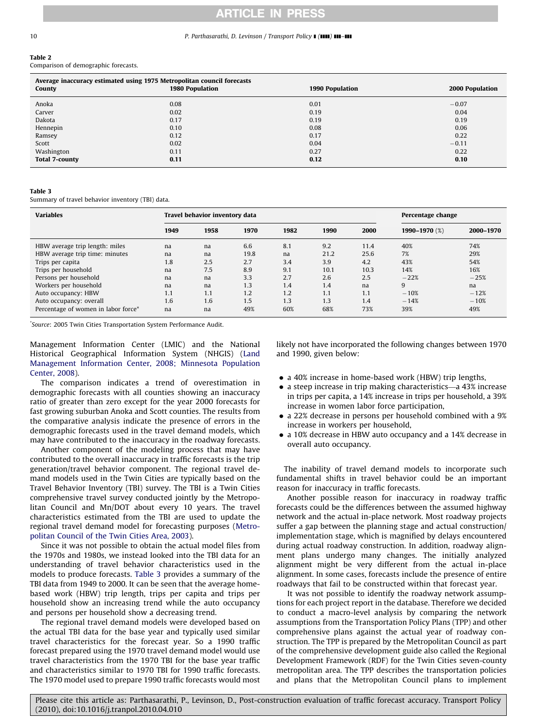#### <span id="page-9-0"></span>10 **P. Parthasarathi, D. Levinson / Transport Policy II (1111) 111-111**

## Table 2

Comparison of demographic forecasts.

| Average inaccuracy estimated using 1975 Metropolitan council forecasts<br>County | 1980 Population | 1990 Population | 2000 Population |
|----------------------------------------------------------------------------------|-----------------|-----------------|-----------------|
| Anoka                                                                            | 0.08            | 0.01            | $-0.07$         |
| Carver                                                                           | 0.02            | 0.19            | 0.04            |
| Dakota                                                                           | 0.17            | 0.19            | 0.19            |
| Hennepin                                                                         | 0.10            | 0.08            | 0.06            |
| Ramsey                                                                           | 0.12            | 0.17            | 0.22            |
| Scott                                                                            | 0.02            | 0.04            | $-0.11$         |
| Washington                                                                       | 0.11            | 0.27            | 0.22            |
| <b>Total 7-county</b>                                                            | 0.11            | 0.12            | 0.10            |

#### Table 3

Summary of travel behavior inventory (TBI) data.

| <b>Variables</b>                    |      | Travel behavior inventory data | Percentage change |      |      |      |               |           |
|-------------------------------------|------|--------------------------------|-------------------|------|------|------|---------------|-----------|
|                                     | 1949 | 1958                           | 1970              | 1982 | 1990 | 2000 | 1990-1970 (%) | 2000-1970 |
| HBW average trip length: miles      | na   | na                             | 6.6               | 8.1  | 9.2  | 11.4 | 40%           | 74%       |
| HBW average trip time: minutes      | na   | na                             | 19.8              | na   | 21.2 | 25.6 | 7%            | 29%       |
| Trips per capita                    | 1.8  | 2.5                            | 2.7               | 3.4  | 3.9  | 4.2  | 43%           | 54%       |
| Trips per household                 | na   | 7.5                            | 8.9               | 9.1  | 10.1 | 10.3 | 14%           | 16%       |
| Persons per household               | na   | na                             | 3.3               | 2.7  | 2.6  | 2.5  | $-22%$        | $-25%$    |
| Workers per household               | na   | na                             | 1.3               | 1.4  | 1.4  | na   | 9             | na        |
| Auto occupancy: HBW                 | 1.1  | 1.1                            | 1.2               | 1.2  | 1.1  | 1.1  | $-10%$        | $-12%$    |
| Auto occupancy: overall             | 1.6  | 1.6                            | 1.5               | 1.3  | 1.3  | 1.4  | $-14%$        | $-10%$    |
| Percentage of women in labor force* | na   | na                             | 49%               | 60%  | 68%  | 73%  | 39%           | 49%       |

\* Source: 2005 Twin Cities Transportation System Performance Audit.

Management Information Center (LMIC) and the National Historical Geographical Information System (NHGIS) [\(Land](#page-15-0) [Management Information Center, 2008; Minnesota Population](#page-15-0) [Center, 2008\)](#page-15-0).

The comparison indicates a trend of overestimation in demographic forecasts with all counties showing an inaccuracy ratio of greater than zero except for the year 2000 forecasts for fast growing suburban Anoka and Scott counties. The results from the comparative analysis indicate the presence of errors in the demographic forecasts used in the travel demand models, which may have contributed to the inaccuracy in the roadway forecasts.

Another component of the modeling process that may have contributed to the overall inaccuracy in traffic forecasts is the trip generation/travel behavior component. The regional travel demand models used in the Twin Cities are typically based on the Travel Behavior Inventory (TBI) survey. The TBI is a Twin Cities comprehensive travel survey conducted jointly by the Metropolitan Council and Mn/DOT about every 10 years. The travel characteristics estimated from the TBI are used to update the regional travel demand model for forecasting purposes [\(Metro](#page-15-0)[politan Council of the Twin Cities Area, 2003](#page-15-0)).

Since it was not possible to obtain the actual model files from the 1970s and 1980s, we instead looked into the TBI data for an understanding of travel behavior characteristics used in the models to produce forecasts. Table 3 provides a summary of the TBI data from 1949 to 2000. It can be seen that the average homebased work (HBW) trip length, trips per capita and trips per household show an increasing trend while the auto occupancy and persons per household show a decreasing trend.

The regional travel demand models were developed based on the actual TBI data for the base year and typically used similar travel characteristics for the forecast year. So a 1990 traffic forecast prepared using the 1970 travel demand model would use travel characteristics from the 1970 TBI for the base year traffic and characteristics similar to 1970 TBI for 1990 traffic forecasts. The 1970 model used to prepare 1990 traffic forecasts would most likely not have incorporated the following changes between 1970 and 1990, given below:

- a 40% increase in home-based work (HBW) trip lengths,
- a steep increase in trip making characteristics—a 43% increase in trips per capita, a 14% increase in trips per household, a 39% increase in women labor force participation,
- a 22% decrease in persons per household combined with a 9% increase in workers per household,
- a 10% decrease in HBW auto occupancy and a 14% decrease in overall auto occupancy.

The inability of travel demand models to incorporate such fundamental shifts in travel behavior could be an important reason for inaccuracy in traffic forecasts.

Another possible reason for inaccuracy in roadway traffic forecasts could be the differences between the assumed highway network and the actual in-place network. Most roadway projects suffer a gap between the planning stage and actual construction/ implementation stage, which is magnified by delays encountered during actual roadway construction. In addition, roadway alignment plans undergo many changes. The initially analyzed alignment might be very different from the actual in-place alignment. In some cases, forecasts include the presence of entire roadways that fail to be constructed within that forecast year.

It was not possible to identify the roadway network assumptions for each project report in the database. Therefore we decided to conduct a macro-level analysis by comparing the network assumptions from the Transportation Policy Plans (TPP) and other comprehensive plans against the actual year of roadway construction. The TPP is prepared by the Metropolitan Council as part of the comprehensive development guide also called the Regional Development Framework (RDF) for the Twin Cities seven-county metropolitan area. The TPP describes the transportation policies and plans that the Metropolitan Council plans to implement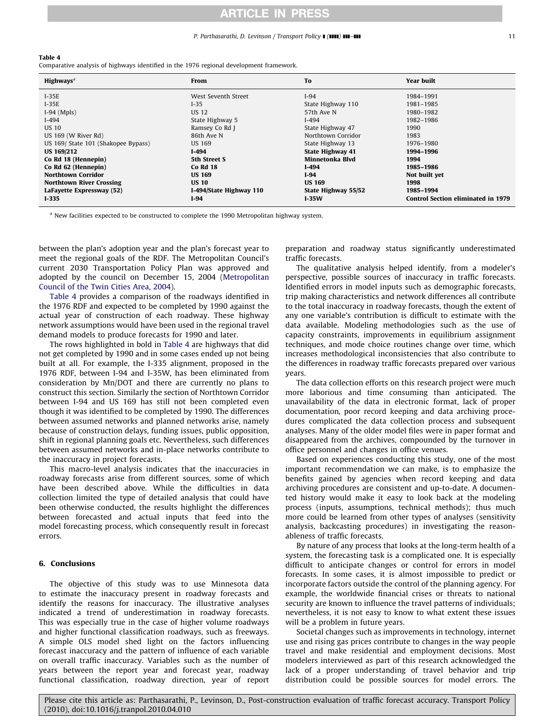#### P. Parthasarathi, D. Levinson / Transport Policy **I** (**IIII) III-III** 11

#### Table 4

Comparative analysis of highways identified in the 1976 regional development framework.

| <b>Highways</b> <sup>a</sup>        | From                    | To                      | <b>Year built</b>                         |
|-------------------------------------|-------------------------|-------------------------|-------------------------------------------|
| $I-35E$                             | West Seventh Street     | $I-94$                  | 1984-1991                                 |
| $I-35E$                             | $I-35$                  | State Highway 110       | 1981-1985                                 |
| $I-94$ (Mpls)                       | <b>US 12</b>            | 57th Ave N              | 1980-1982                                 |
| $I-494$                             | State Highway 5         | $I-494$                 | 1982-1986                                 |
| <b>US 10</b>                        | Ramsey Co Rd J          | State Highway 47        | 1990                                      |
| US 169 (W River Rd)                 | 86th Ave N              | Northtown Corridor      | 1983                                      |
| US 169/ State 101 (Shakopee Bypass) | US 169                  | State Highway 13        | 1976-1980                                 |
| <b>US 169/212</b>                   | $I-494$                 | <b>State Highway 41</b> | 1994-1996                                 |
| Co Rd 18 (Hennepin)                 | 5th Street S            | Minnetonka Blvd         | 1994                                      |
| Co Rd 62 (Hennepin)                 | <b>Co Rd 18</b>         | $I-494$                 | 1985-1986                                 |
| <b>Northtown Corridor</b>           | <b>US 169</b>           | $I-94$                  | Not built yet                             |
| <b>Northtown River Crossing</b>     | <b>US 10</b>            | <b>US 169</b>           | 1998                                      |
| LaFayette Expressway (52)           | I-494/State Highway 110 | State Highway 55/52     | 1985-1994                                 |
| $I-335$                             | $I-94$                  | $I-35W$                 | <b>Control Section eliminated in 1979</b> |

<sup>a</sup> New facilities expected to be constructed to complete the 1990 Metropolitan highway system.

between the plan's adoption year and the plan's forecast year to meet the regional goals of the RDF. The Metropolitan Council's current 2030 Transportation Policy Plan was approved and adopted by the council on December 15, 2004 [\(Metropolitan](#page-15-0) [Council of the Twin Cities Area, 2004](#page-15-0)).

Table 4 provides a comparison of the roadways identified in the 1976 RDF and expected to be completed by 1990 against the actual year of construction of each roadway. These highway network assumptions would have been used in the regional travel demand models to produce forecasts for 1990 and later.

The rows highlighted in bold in Table 4 are highways that did not get completed by 1990 and in some cases ended up not being built at all. For example, the I-335 alignment, proposed in the 1976 RDF, between I-94 and I-35W, has been eliminated from consideration by Mn/DOT and there are currently no plans to construct this section. Similarly the section of Northtown Corridor between I-94 and US 169 has still not been completed even though it was identified to be completed by 1990. The differences between assumed networks and planned networks arise, namely because of construction delays, funding issues, public opposition, shift in regional planning goals etc. Nevertheless, such differences between assumed networks and in-place networks contribute to the inaccuracy in project forecasts.

This macro-level analysis indicates that the inaccuracies in roadway forecasts arise from different sources, some of which have been described above. While the difficulties in data collection limited the type of detailed analysis that could have been otherwise conducted, the results highlight the differences between forecasted and actual inputs that feed into the model forecasting process, which consequently result in forecast errors.

#### 6. Conclusions

The objective of this study was to use Minnesota data to estimate the inaccuracy present in roadway forecasts and identify the reasons for inaccuracy. The illustrative analyses indicated a trend of underestimation in roadway forecasts. This was especially true in the case of higher volume roadways and higher functional classification roadways, such as freeways. A simple OLS model shed light on the factors influencing forecast inaccuracy and the pattern of influence of each variable on overall traffic inaccuracy. Variables such as the number of years between the report year and forecast year, roadway functional classification, roadway direction, year of report preparation and roadway status significantly underestimated traffic forecasts.

The qualitative analysis helped identify, from a modeler's perspective, possible sources of inaccuracy in traffic forecasts. Identified errors in model inputs such as demographic forecasts, trip making characteristics and network differences all contribute to the total inaccuracy in roadway forecasts, though the extent of any one variable's contribution is difficult to estimate with the data available. Modeling methodologies such as the use of capacity constraints, improvements in equilibrium assignment techniques, and mode choice routines change over time, which increases methodological inconsistencies that also contribute to the differences in roadway traffic forecasts prepared over various years.

The data collection efforts on this research project were much more laborious and time consuming than anticipated. The unavailability of the data in electronic format, lack of proper documentation, poor record keeping and data archiving procedures complicated the data collection process and subsequent analyses. Many of the older model files were in paper format and disappeared from the archives, compounded by the turnover in office personnel and changes in office venues.

Based on experiences conducting this study, one of the most important recommendation we can make, is to emphasize the benefits gained by agencies when record keeping and data archiving procedures are consistent and up-to-date. A documented history would make it easy to look back at the modeling process (inputs, assumptions, technical methods); thus much more could be learned from other types of analyses (sensitivity analysis, backcasting procedures) in investigating the reasonableness of traffic forecasts.

By nature of any process that looks at the long-term health of a system, the forecasting task is a complicated one. It is especially difficult to anticipate changes or control for errors in model forecasts. In some cases, it is almost impossible to predict or incorporate factors outside the control of the planning agency. For example, the worldwide financial crises or threats to national security are known to influence the travel patterns of individuals; nevertheless, it is not easy to know to what extent these issues will be a problem in future years.

Societal changes such as improvements in technology, internet use and rising gas prices contribute to changes in the way people travel and make residential and employment decisions. Most modelers interviewed as part of this research acknowledged the lack of a proper understanding of travel behavior and trip distribution could be possible sources for model errors. The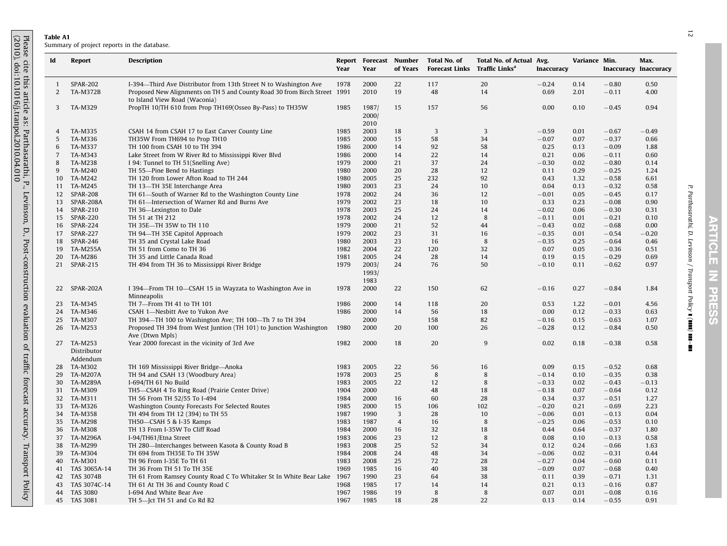## Table A1

<span id="page-11-0"></span>

| Id             | <b>Report</b>                         | <b>Description</b>                                                                                         | Year         | Report Forecast Number<br>Year | of Years       | Total No. of<br><b>Forecast Links</b> Traffic Links <sup>a</sup> | Total No. of Actual Avg. | Inaccuracy   | Variance Min. | <b>Inaccuracy Inaccuracy</b> | Max.         |
|----------------|---------------------------------------|------------------------------------------------------------------------------------------------------------|--------------|--------------------------------|----------------|------------------------------------------------------------------|--------------------------|--------------|---------------|------------------------------|--------------|
| -1             | <b>SPAR-202</b>                       | I-394-Third Ave Distributor from 13th Street N to Washington Ave                                           | 1978         | 2000                           | 22             | 117                                                              | 20                       | $-0.24$      | 0.14          | $-0.80$                      | 0.50         |
| 2              | <b>TA-M372B</b>                       | Proposed New Alignments on TH 5 and County Road 30 from Birch Street 1991<br>to Island View Road (Waconia) |              | 2010                           | 19             | 48                                                               | 14                       | 0.69         | 2.01          | $-0.11$                      | 4.00         |
| 3              | TA-M329                               | PropTH 10/TH 610 from Prop TH169(Osseo By-Pass) to TH35W                                                   | 1985         | 1987/<br>2000/<br>2010         | 15             | 157                                                              | 56                       | 0.00         | 0.10          | $-0.45$                      | 0.94         |
| 4              | TA-M335                               | CSAH 14 from CSAH 17 to East Carver County Line                                                            | 1985         | 2003                           | 18             | 3                                                                | 3                        | $-0.59$      | 0.01          | $-0.67$                      | $-0.49$      |
| 5              | TA-M336                               | TH35W From TH694 to Prop TH10                                                                              | 1985         | 2000                           | 15             | 58                                                               | 34                       | $-0.07$      | 0.07          | $-0.37$                      | 0.66         |
| 6              | TA-M337                               | TH 100 from CSAH 10 to TH 394                                                                              | 1986         | 2000                           | 14             | 92                                                               | 58                       | 0.25         | 0.13          | $-0.09$                      | 1.88         |
| $\overline{7}$ | TA-M343                               | Lake Street from W River Rd to Mississippi River Blvd                                                      | 1986         | 2000                           | 14             | 22                                                               | 14                       | 0.21         | 0.06          | $-0.11$                      | 0.60         |
| 8              | TA-M238                               | I 94: Tunnel to TH 51(Snelling Ave)                                                                        | 1979         | 2000                           | 21             | 37                                                               | 24                       | $-0.30$      | 0.02          | $-0.80$                      | 0.14         |
| 9              | <b>TA-M240</b>                        | TH 55—Pine Bend to Hastings                                                                                | 1980         | 2000                           | 20             | 28                                                               | 12                       | 0.11         | 0.29          | $-0.25$                      | 1.24         |
| 10             | TA-M242                               | TH 120 from Lower Afton Road to TH 244                                                                     | 1980         | 2005                           | 25             | 232                                                              | 92                       | 0.43         | 1.32          | $-0.58$                      | 6.61         |
| 11             | TA-M245                               | TH 13-TH 35E Interchange Area                                                                              | 1980         | 2003                           | 23             | 24                                                               | 10                       | 0.04         | 0.13          | $-0.32$                      | 0.58         |
| 12             | <b>SPAR-208</b>                       | TH 61—South of Warner Rd to the Washington County Line                                                     | 1978         | 2002                           | 24             | 36                                                               | 12                       | $-0.01$      | 0.05          | $-0.45$                      | 0.17         |
| 13             | SPAR-208A                             | TH 61-Intersection of Warner Rd and Burns Ave                                                              | 1979         | 2002                           | 23             | 18                                                               | 10                       | 0.33         | 0.23          | $-0.08$                      | 0.90         |
| 14             | <b>SPAR-210</b>                       | TH 36-Lexington to Dale                                                                                    | 1978         | 2003                           | 25             | 24                                                               | 14                       | $-0.02$      | 0.06          | $-0.30$                      | 0.31         |
| 15             | SPAR-220                              | TH 51 at TH 212                                                                                            | 1978         | 2002                           | 24             | 12                                                               | 8                        | $-0.11$      | 0.01          | $-0.21$                      | 0.10         |
| 16             | <b>SPAR-224</b>                       | TH 35E-TH 35W to TH 110                                                                                    | 1979         | 2000                           | 21             | 52                                                               | 44                       | $-0.43$      | 0.02          | $-0.68$                      | 0.00         |
| 17             | <b>SPAR-227</b>                       | TH 94—TH 35E Capitol Approach                                                                              | 1979         | 2002                           | 23             | 31                                                               | 16                       | $-0.35$      | 0.01          | $-0.54$                      | $-0.20$      |
| 18             | <b>SPAR-246</b>                       | TH 35 and Crystal Lake Road                                                                                | 1980         | 2003                           | 23             | 16                                                               | 8                        | $-0.35$      | 0.25          | $-0.64$                      | 0.46         |
| 19             | <b>TA-M255A</b>                       | TH 51 from Como to TH 36                                                                                   | 1982         | 2004                           | 22             | 120                                                              | 32                       | 0.07         | 0.05          | $-0.36$                      | 0.51         |
| 20             | TA-M286                               | TH 35 and Little Canada Road                                                                               | 1981         | 2005                           | 24             | 28                                                               | 14                       | 0.19         | 0.15          | $-0.29$                      | 0.69         |
| 21             | SPAR-215                              | TH 494 from TH 36 to Mississippi River Bridge                                                              | 1979         | 2003/<br>1993/<br>1983         | 24             | 76                                                               | 50                       | $-0.10$      | 0.11          | $-0.62$                      | 0.97         |
| 22             | SPAR-202A                             | I 394—From TH 10—CSAH 15 in Wayzata to Washington Ave in<br>Minneapolis                                    | 1978         | 2000                           | 22             | 150                                                              | 62                       | $-0.16$      | 0.27          | $-0.84$                      | 1.84         |
| 23             | TA-M345                               | TH 7-From TH 41 to TH 101                                                                                  | 1986         | 2000                           | 14             | 118                                                              | 20                       | 0.53         | 1.22          | $-0.01$                      | 4.56         |
| 24             | TA-M346                               | CSAH 1-Nesbitt Ave to Yukon Ave                                                                            | 1986         | 2000                           | 14             | 56                                                               | 18                       | 0.00         | 0.12          | $-0.33$                      | 0.63         |
| 25             | TA-M307                               | TH 394-TH 100 to Washington Ave; TH 100-Th 7 to TH 394                                                     |              | 2000                           |                | 158                                                              | 82                       | $-0.16$      | 0.15          | $-0.63$                      | 1.07         |
| 26             | TA-M253                               | Proposed TH 394 from West Juntion (TH 101) to Junction Washington<br>Ave (Dtwn Mpls)                       | 1980         | 2000                           | 20             | 100                                                              | 26                       | $-0.28$      | 0.12          | $-0.84$                      | 0.50         |
|                | 27 TA-M253<br>Distributor<br>Addendum | Year 2000 forecast in the vicinity of 3rd Ave                                                              | 1982         | 2000                           | 18             | 20                                                               | 9                        | 0.02         | 0.18          | $-0.38$                      | 0.58         |
| 28             | TA-M302                               | TH 169 Mississippi River Bridge-Anoka                                                                      | 1983         | 2005                           | 22             | 56                                                               | 16                       | 0.09         | 0.15          | $-0.52$                      | 0.68         |
| 29             | TA-M207A                              | TH 94 and CSAH 13 (Woodbury Area)                                                                          | 1978         | 2003                           | 25             | 8                                                                | 8                        | $-0.14$      | 0.10          | $-0.35$                      | 0.38         |
| 30             | <b>TA-M289A</b>                       | I-694/TH 61 No Build                                                                                       | 1983         | 2005                           | 22             | 12                                                               | 8                        | $-0.33$      | 0.02          | $-0.43$                      | $-0.13$      |
| 31             | TA-M309                               | TH5-CSAH 4 To Ring Road (Prairie Center Drive)                                                             | 1904         | 2000                           |                | 48                                                               | 18                       | $-0.18$      | 0.07          | $-0.64$                      | 0.12         |
| 32             | TA-M311                               | TH 56 From TH 52/55 To I-494                                                                               | 1984         | 2000                           | 16             | 60                                                               | 28                       | 0.34         | 0.37          | $-0.51$                      | 1.27         |
| 33             | TA-M326                               | Washington County Forecasts For Selected Routes                                                            | 1985         | 2000                           | 15             | 106                                                              | 102                      | $-0.20$      | 0.21          | $-0.69$                      | 2.23         |
| 34             | TA-M358                               | TH 494 from TH 12 (394) to TH 55                                                                           | 1987         | 1990                           | 3              | 28                                                               | 10                       | $-0.06$      | 0.01          | $-0.13$                      | 0.04         |
| 35             | TA-M298                               | TH50-CSAH 5 & I-35 Ramps                                                                                   | 1983         | 1987                           | $\overline{4}$ | 16                                                               | 8                        | $-0.25$      | 0.06          | $-0.53$                      | 0.10         |
| 36             | TA-M308                               | TH 13 From I-35W To Cliff Road                                                                             | 1984         | 2000                           | 16             | 32                                                               | 18                       | 0.44         | 0.64          | $-0.37$                      | 1.80         |
| 37             | <b>TA-M296A</b>                       | I-94/TH61/Etna Street                                                                                      | 1983         | 2006                           | 23             | 12                                                               | 8                        | 0.08         | 0.10          | $-0.13$                      | 0.58         |
| 38             | TA-M299                               | TH 280-Interchanges between Kasota & County Road B                                                         | 1983         | 2008                           | 25             | 52                                                               | 34                       | 0.12         | 0.24          | $-0.66$                      | 1.63         |
| 39             | TA-M304                               | TH 694 from TH35E To TH 35W                                                                                | 1984         | 2008                           | 24             | 48                                                               | 34                       | $-0.06$      | 0.02          | $-0.31$                      | 0.44         |
| 40             | TA-M301                               | TH 96 From I-35E To TH 61                                                                                  | 1983         | 2008                           | 25             | 72                                                               | 28                       | $-0.27$      | 0.04          | $-0.60$                      | 0.11         |
| 41             | TAS 3065A-14                          | TH 36 From TH 51 To TH 35E                                                                                 | 1969         | 1985                           | 16             | 40                                                               | 38                       | $-0.09$      | 0.07          | $-0.68$                      | 0.40         |
|                |                                       |                                                                                                            |              | 1990                           | 23             | 64                                                               | 38                       | 0.11         | 0.39          | $-0.71$                      | 1.31         |
|                |                                       |                                                                                                            |              |                                |                |                                                                  |                          |              |               |                              |              |
| 42             | <b>TAS 3074B</b>                      | TH 61 From Ramsey County Road C To Whitaker St In White Bear Lake                                          | 1967         |                                |                |                                                                  |                          |              |               |                              |              |
| 43<br>44       | TAS 3074C-14<br><b>TAS 3080</b>       | TH 61 At TH 36 and County Road C<br>I-694 And White Bear Ave                                               | 1968<br>1967 | 1985<br>1986                   | 17<br>19       | 14<br>8                                                          | 14<br>8                  | 0.21<br>0.07 | 0.13<br>0.01  | $-0.16$<br>$-0.08$           | 0.87<br>0.16 |

ARTICLE IN PRESS E ICLE  $\mathbf{z}$ **HARF** 77

P. Parthasarathi, D. Levinson / Transport Policy

] (]]]]) ]]]–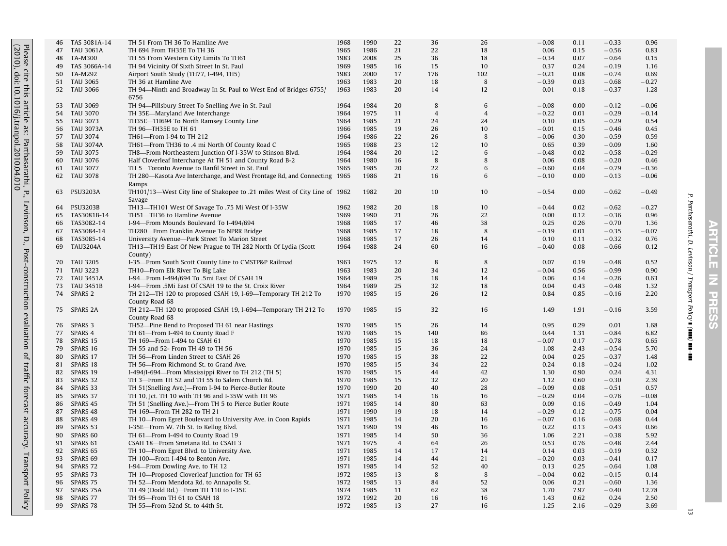|                                                                    | 46 | TAS 3081A-14        | TH 51 From TH 36 To Hamline Ave                                            | 1968 | 1990 | 22             | 36             | 26             | $-0.08$ | 0.11 | $-0.33$ | 0.96    |
|--------------------------------------------------------------------|----|---------------------|----------------------------------------------------------------------------|------|------|----------------|----------------|----------------|---------|------|---------|---------|
|                                                                    | 47 | <b>TAU 3061A</b>    | TH 694 From TH35E To TH 36                                                 | 1965 | 1986 | 21             | 22             | 18             | 0.06    | 0.15 | $-0.56$ | 0.83    |
|                                                                    |    |                     |                                                                            |      |      |                |                |                |         |      |         |         |
| Please of 2010),                                                   | 48 | <b>TA-M300</b>      | TH 55 From Western City Limits To TH61                                     | 1983 | 2008 | 25             | 36             | 18             | $-0.34$ | 0.07 | $-0.64$ | 0.15    |
|                                                                    | 49 | TAS 3066A-14        | TH 94 Vicinity Of Sixth Street In St. Paul                                 | 1969 | 1985 | 16             | 15             | 10             | 0.37    | 0.24 | $-0.19$ | 1.16    |
| cite t<br>doi:                                                     |    |                     |                                                                            |      |      |                |                |                |         |      |         |         |
|                                                                    | 50 | TA-M292             | Airport South Study (TH77, I-494, TH5)                                     | 1983 | 2000 | 17             | 176            | 102            | $-0.21$ | 0.08 | $-0.74$ | 0.69    |
|                                                                    | 51 | <b>TAU 3065</b>     | TH 36 at Hamline Ave                                                       | 1963 | 1983 | 20             | 18             | 8              | $-0.39$ | 0.03 | $-0.68$ | $-0.27$ |
| this                                                               | 52 | <b>TAU 3066</b>     | TH 94—Ninth and Broadway In St. Paul to West End of Bridges 6755/          | 1963 | 1983 | 20             | 14             | 12             | 0.01    | 0.18 | $-0.37$ | 1.28    |
|                                                                    |    |                     |                                                                            |      |      |                |                |                |         |      |         |         |
|                                                                    |    |                     | 6756                                                                       |      |      |                |                |                |         |      |         |         |
|                                                                    | 53 | <b>TAU 3069</b>     | TH 94-Pillsbury Street To Snelling Ave in St. Paul                         | 1964 | 1984 | 20             | 8              | 6              | $-0.08$ | 0.00 | $-0.12$ | $-0.06$ |
|                                                                    |    |                     |                                                                            |      |      |                |                |                |         |      |         |         |
|                                                                    | 54 | <b>TAU 3070</b>     | TH 35E-Maryland Ave Interchange                                            | 1964 | 1975 | 11             | $\overline{4}$ | $\overline{4}$ | $-0.22$ | 0.01 | $-0.29$ | $-0.14$ |
|                                                                    | 55 | <b>TAU 3073</b>     | TH35E-TH694 To North Ramsey County Line                                    | 1964 | 1985 | 21             | 24             | 24             | 0.10    | 0.05 | $-0.29$ | 0.54    |
|                                                                    | 56 | <b>TAU 3073A</b>    | TH 96-TH35E to TH 61                                                       | 1966 | 1985 | 19             | 26             | 10             | $-0.01$ | 0.15 | $-0.46$ | 0.45    |
|                                                                    |    |                     |                                                                            |      |      |                |                |                |         |      |         |         |
|                                                                    | 57 | <b>TAU 3074</b>     | TH61-From I-94 to TH 212                                                   | 1964 | 1986 | 22             | 26             | 8              | $-0.06$ | 0.30 | $-0.59$ | 0.59    |
|                                                                    | 58 | <b>TAU 3074A</b>    | TH61-From TH36 to .4 mi North Of County Road C                             | 1965 | 1988 | 23             | 12             | 10             | 0.65    | 0.39 | $-0.09$ | 1.60    |
|                                                                    | 59 | TAU 3075            | TH8-From Northeastern Junction Of I-35W to Stinson Blvd.                   | 1964 | 1984 | 20             | 12             | 6              | $-0.48$ | 0.02 | $-0.58$ | $-0.29$ |
|                                                                    |    |                     |                                                                            |      |      |                |                |                |         |      |         |         |
|                                                                    | 60 | <b>TAU 3076</b>     | Half Cloverleaf Interchange At TH 51 and County Road B-2                   | 1964 | 1980 | 16             | 8              | 8              | 0.06    | 0.08 | $-0.20$ | 0.46    |
|                                                                    | 61 | <b>TAU 3077</b>     | TH 5-Toronto Avenue to Banfil Street in St. Paul                           | 1965 | 1985 | 20             | 22             | 6              | $-0.60$ | 0.04 | $-0.79$ | $-0.36$ |
|                                                                    | 62 | <b>TAU 3078</b>     |                                                                            |      | 1986 | 21             | 16             | 6              | $-0.10$ | 0.00 | $-0.13$ | $-0.06$ |
|                                                                    |    |                     | TH 280—Kasota Ave Interchange, and West Frontage Rd, and Connecting 1965   |      |      |                |                |                |         |      |         |         |
| this article as: Parthasarathi, 1<br>10.1016/j.tranpol.2010.04.010 |    |                     | Ramps                                                                      |      |      |                |                |                |         |      |         |         |
| $\mathsf{P}^{\mathsf{r}}$                                          | 63 | <b>PSU3203A</b>     | TH101/13-West City line of Shakopee to .21 miles West of City Line of 1962 |      | 1982 | 20             | 10             | 10             | $-0.54$ | 0.00 | $-0.62$ | $-0.49$ |
|                                                                    |    |                     |                                                                            |      |      |                |                |                |         |      |         |         |
|                                                                    |    |                     | Savage                                                                     |      |      |                |                |                |         |      |         |         |
|                                                                    | 64 | <b>PSU3203B</b>     | TH13-TH101 West Of Savage To .75 Mi West Of I-35W                          | 1962 | 1982 | 20             | 18             | 10             | $-0.44$ | 0.02 | $-0.62$ | $-0.27$ |
|                                                                    | 65 | TAS3081B-14         | TH51-TH36 to Hamline Avenue                                                | 1969 | 1990 | 21             | 26             | 22             | 0.00    | 0.12 | $-0.36$ | 0.96    |
|                                                                    |    |                     |                                                                            |      |      |                |                |                |         |      |         |         |
|                                                                    | 66 | TAS3082-14          | I-94-From Mounds Boulevard To I-494/694                                    | 1968 | 1985 | 17             | 46             | 38             | 0.25    | 0.26 | $-0.70$ | 1.36    |
| Levinson,                                                          | 67 | TAS3084-14          | TH280-From Franklin Avenue To NPRR Bridge                                  | 1968 | 1985 | 17             | 18             | 8              | $-0.19$ | 0.01 | $-0.35$ | $-0.07$ |
|                                                                    | 68 | TAS3085-14          |                                                                            | 1968 | 1985 | 17             | 26             | 14             | 0.10    | 0.11 | $-0.32$ | 0.76    |
| $\mathsf{D}.$                                                      |    |                     | University Avenue-Park Street To Marion Street                             |      |      |                |                |                |         |      |         |         |
|                                                                    | 69 | <b>TAU3204A</b>     | TH13-TH19 East Of New Prague to TH 282 North Of Lydia (Scott               | 1964 | 1988 | 24             | 60             | 16             | $-0.40$ | 0.08 | $-0.66$ | 0.12    |
|                                                                    |    |                     | County)                                                                    |      |      |                |                |                |         |      |         |         |
|                                                                    |    |                     |                                                                            |      |      |                |                |                |         |      |         |         |
|                                                                    | 70 | <b>TAU 3205</b>     | I-35-From South Scott County Line to CMSTP&P Railroad                      | 1963 | 1975 | 12             | 8              | 8              | 0.07    | 0.19 | $-0.48$ | 0.52    |
|                                                                    | 71 | <b>TAU 3223</b>     | TH10-From Elk River To Big Lake                                            | 1963 | 1983 | 20             | 34             | 12             | $-0.04$ | 0.56 | $-0.99$ | 0.90    |
|                                                                    | 72 | <b>TAU 3451A</b>    | I-94-From I-494/694 To .5mi East Of CSAH 19                                | 1964 | 1989 | 25             | 18             | 14             | 0.06    | 0.14 | $-0.26$ | 0.63    |
|                                                                    |    |                     |                                                                            |      |      |                |                |                |         |      |         |         |
|                                                                    | 73 | <b>TAU 3451B</b>    | I-94-From .5Mi East Of CSAH 19 to the St. Croix River                      | 1964 | 1989 | 25             | 32             | 18             | 0.04    | 0.43 | $-0.48$ | 1.32    |
|                                                                    | 74 | SPARS <sub>2</sub>  | TH 212-TH 120 to proposed CSAH 19, I-69-Temporary TH 212 To                | 1970 | 1985 | 15             | 26             | 12             | 0.84    | 0.85 | $-0.16$ | 2.20    |
| Post-construction                                                  |    |                     | County Road 68                                                             |      |      |                |                |                |         |      |         |         |
|                                                                    |    |                     |                                                                            |      |      |                |                |                |         |      |         |         |
|                                                                    | 75 | SPARS 2A            | TH 212-TH 120 to proposed CSAH 19, I-694-Temporary TH 212 To               | 1970 | 1985 | 15             | 32             | 16             | 1.49    | 1.91 | $-0.16$ | 3.59    |
| evaluation                                                         |    |                     | County Road 68                                                             |      |      |                |                |                |         |      |         |         |
|                                                                    |    | SPARS 3             |                                                                            | 1970 | 1985 | 15             |                | 14             | 0.95    | 0.29 | 0.01    | 1.68    |
|                                                                    | 76 |                     | TH52-Pine Bend to Proposed TH 61 near Hastings                             |      |      |                | 26             |                |         |      |         |         |
|                                                                    | 77 | SPARS 4             | TH 61-From I-494 to County Road F                                          | 1970 | 1985 | 15             | 140            | 86             | 0.44    | 1.31 | $-0.84$ | 6.82    |
|                                                                    | 78 | SPARS 15            | TH 169-From I-494 to CSAH 61                                               | 1970 | 1985 | 15             | 18             | 18             | $-0.07$ | 0.17 | $-0.78$ | 0.65    |
|                                                                    |    |                     |                                                                            |      |      |                |                |                |         |      |         |         |
|                                                                    | 79 | SPARS 16            | TH 55 and 52- From TH 49 to TH 56                                          | 1970 | 1985 | 15             | 36             | 24             | 1.08    | 2.43 | $-0.54$ | 5.70    |
|                                                                    | 80 | SPARS 17            | TH 56-From Linden Street to CSAH 26                                        | 1970 | 1985 | 15             | 38             | 22             | 0.04    | 0.25 | $-0.37$ | 1.48    |
|                                                                    | 81 | SPARS 18            | TH 56-From Richmond St. to Grand Ave.                                      | 1970 | 1985 | 15             | 34             | 22             | 0.24    | 0.18 | $-0.24$ | 1.02    |
| of traffic                                                         |    |                     |                                                                            |      |      |                |                |                |         |      |         |         |
|                                                                    | 82 | SPARS 19            | I-494/I-694-From Mississippi River to TH 212 (TH 5)                        | 1970 | 1985 | 15             | 44             | 42             | 1.30    | 0.90 | 0.24    | 4.31    |
|                                                                    | 83 | SPARS 32            | TH 3-From TH 52 and TH 55 to Salem Church Rd.                              | 1970 | 1985 | 15             | 32             | 20             | 1.12    | 0.60 | $-0.30$ | 2.39    |
|                                                                    | 84 | SPARS 33            | TH 51(Snelling Ave.)-From I-94 to Pierce-Butler Route                      | 1970 | 1990 | 20             | 40             | 28             | $-0.09$ | 0.08 | $-0.51$ | 0.57    |
|                                                                    |    |                     |                                                                            |      |      |                |                |                |         |      |         |         |
| forecast                                                           | 85 | SPARS 37            | TH 10, Jct. TH 10 with TH 96 and I-35W with TH 96                          | 1971 | 1985 | 14             | 16             | 16             | $-0.29$ | 0.04 | $-0.76$ | $-0.08$ |
|                                                                    | 86 | SPARS 45            | TH 51 (Snelling Ave.)-From TH 5 to Pierce Butler Route                     | 1971 | 1985 | 14             | 80             | 63             | 0.09    | 0.16 | $-0.49$ | 1.04    |
|                                                                    | 87 | SPARS 48            | TH 169-From TH 282 to TH 21                                                | 1971 | 1990 | 19             | 18             | 14             | $-0.29$ | 0.12 | $-0.75$ | 0.04    |
|                                                                    |    |                     |                                                                            |      |      |                |                |                |         |      |         |         |
| accuracy.                                                          | 88 | SPARS 49            | TH 10-From Egret Boulevard to University Ave. in Coon Rapids               | 1971 | 1985 | 14             | 20             | 16             | $-0.07$ | 0.16 | $-0.68$ | 0.44    |
|                                                                    | 89 | SPARS 53            | I-35E-From W. 7th St. to Kellog Blvd.                                      | 1971 | 1990 | 19             | 46             | 16             | 0.22    | 0.13 | $-0.43$ | 0.66    |
|                                                                    |    |                     |                                                                            |      |      |                |                |                |         |      |         |         |
|                                                                    | 90 | SPARS 60            | TH 61-From I-494 to County Road 19                                         | 1971 | 1985 | 14             | 50             | 36             | 1.06    | 2.21 | $-0.38$ | 5.92    |
|                                                                    | 91 | SPARS 61            | CSAH 18-From Smetana Rd. to CSAH 3                                         | 1971 | 1975 | $\overline{4}$ | 64             | 26             | 0.53    | 0.76 | $-0.48$ | 2.44    |
|                                                                    | 92 | SPARS 65            | TH 10-From Egret Blvd. to University Ave.                                  | 1971 | 1985 | 14             | 17             | 14             | 0.14    | 0.03 | $-0.19$ | 0.32    |
|                                                                    |    |                     |                                                                            |      |      |                |                |                |         |      |         |         |
|                                                                    | 93 | SPARS 69            | TH 100-From I-494 to Benton Ave.                                           | 1971 | 1985 | 14             | 44             | 21             | $-0.20$ | 0.03 | $-0.41$ | 0.17    |
|                                                                    | 94 | SPARS <sub>72</sub> | I-94-From Dowling Ave. to TH 12                                            | 1971 | 1985 | 14             | 52             | 40             | 0.13    | 0.25 | $-0.64$ | 1.08    |
|                                                                    | 95 | SPARS 73            | TH 10-Proposed Cloverleaf Junction for TH 65                               | 1972 | 1985 | 13             | 8              | 8              | $-0.04$ | 0.02 | $-0.15$ | 0.14    |
|                                                                    |    |                     |                                                                            |      |      |                |                |                |         |      |         |         |
|                                                                    | 96 | SPARS 75            | TH 52-From Mendota Rd. to Annapolis St.                                    | 1972 | 1985 | 13             | 84             | 52             | 0.06    | 0.21 | $-0.60$ | 1.36    |
|                                                                    | 97 | SPARS 75A           | TH 49 (Dodd Rd.)—From TH 110 to I-35E                                      | 1974 | 1985 | 11             | 62             | 38             | 1.70    | 7.97 | $-0.40$ | 12.78   |
| Transport Policy                                                   | 98 | SPARS 77            | TH 95-From TH 61 to CSAH 18                                                | 1972 | 1992 | 20             | 16             | 16             | 1.43    | 0.62 | 0.24    | 2.50    |
|                                                                    |    |                     |                                                                            |      |      |                |                |                |         |      |         |         |
|                                                                    | 99 | SPARS 78            | TH 55-From 52nd St. to 44th St.                                            | 1972 | 1985 | 13             | 27             | 16             | 1.25    | 2.16 | $-0.29$ | 3.69    |

P. Parthasarathi, D. Levinson / Transport Policy

 $\sum_{i=1}^{n}$ 

]]]–]]]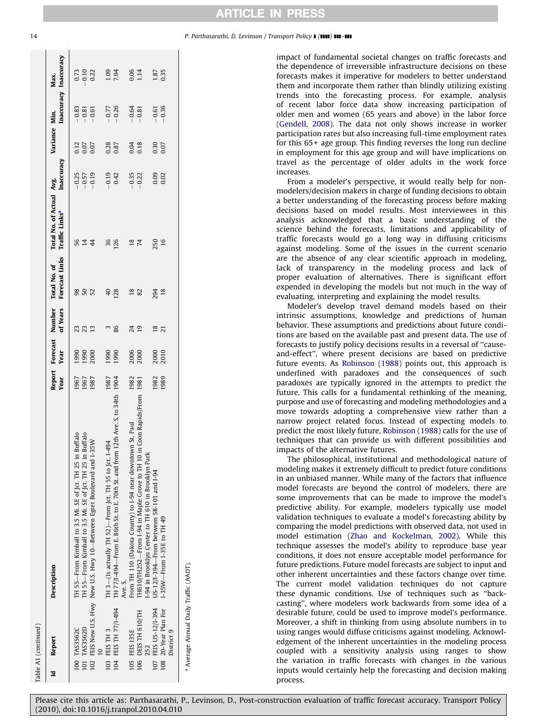| [able A1 (continued)                              |                                                                                                                        |                |      |                             |                                |                                                        |                    |                      |                       |                      |
|---------------------------------------------------|------------------------------------------------------------------------------------------------------------------------|----------------|------|-----------------------------|--------------------------------|--------------------------------------------------------|--------------------|----------------------|-----------------------|----------------------|
| Report<br>Þ                                       | <b>Description</b>                                                                                                     | Report<br>Year | Year | Forecast Number<br>of Years | Forecast Links<br>Total No. of | Total No. of Actual Avg.<br>Traffic Links <sup>a</sup> | Inaccuracy         | Variance Min.        | Inaccuracy Inaccuracy | Max.                 |
| 100 TAS3562C                                      | in Buffalo<br>TH 55-From Kimball to 3.5 Mi. SE of Jct. TH 25                                                           | 1967           | 1990 |                             |                                | 56                                                     |                    |                      | $-0.83$               |                      |
| 101 TAS3562D                                      | in Buffalo<br>TH 55-From Kimball to 3.5 Mi. SE of Jct. TH 25                                                           | 1967           | 1990 | 23<br>23                    | <b>362</b>                     | $\overline{14}$                                        | $-0.25$<br>$-0.57$ | 0.12<br>0.07<br>0.07 | $-0.81$               | 0.73<br>0.10<br>0.22 |
|                                                   | $1-35W$<br>102 FEIS New U.S. Hwy New U.S. Hwy 10-Between Egret Boulevard and                                           | 1987           | 2000 | 13                          |                                | $\frac{4}{4}$                                          | $-0.19$            |                      | $-0.61$               |                      |
| 103 FEIS TH 3                                     | TH 3-(Is actually TH 52)-From Jct. TH 55 to Jct. 1-494                                                                 | 1987           | 1990 |                             | 40                             | 36                                                     | $-0.19$            |                      |                       |                      |
| 104 FEIS TH 77/1-494                              | TH 77/I-494—From E. 86th St. to E. 70th St. and from 12th Ave. S. to 34th 1904<br>Ave. S.                              |                | 1990 | ო<br>86                     | 128                            | 126                                                    | 0.42               | 0.28                 | $-0.77$<br>$-0.26$    | 1.09<br>7.94         |
| 105 FEIS 135E                                     | From TH 110 (Dakota County) to 1-94 near downtown St. Paul                                                             | 1982           |      | 24                          | 18                             |                                                        |                    |                      | $-0.64$<br>$-0.81$    |                      |
| 106 DEIS TH 610/TH<br>252                         | TH610/TH252—From 1-94 in Maple Grove to TH 10 in Coon Rapids/From<br>-94 in Brooklyn Center to TH 610 in Brooklyn Park | 1981           | 2006 | $\overline{19}$             | 82                             | $^{18}_{74}$                                           | $-0.35$<br>$-0.22$ | 0.04                 |                       | 0.06<br>1.14         |
| 107 FEIS US-12/I-394                              | US-12/I-394—From between SR-101 and I-94                                                                               | 1982           | 2000 | $\frac{8}{2}$               | 294                            | 250                                                    | 0.09               |                      | $-0.61$               |                      |
| 20-Year Plan For<br>District 9<br>$\frac{108}{2}$ | 1-35W-From 1-35E to TH 49                                                                                              | 1989           | 2010 | $\overline{21}$             | 18                             | 16                                                     | 0.02               | 0.30<br>0.07         | $-0.36$               | 1.87<br>0.35         |
| <sup>a</sup> Average Annual Daily Traffic (AADT). |                                                                                                                        |                |      |                             |                                |                                                        |                    |                      |                       |                      |

14 **P. Parthasarathi, D. Levinson / Transport Policy II (1111) 111-111** 

impact of fundamental societal changes on traffic forecasts and the dependence of irreversible infrastructure decisions on these forecasts makes it imperative for modelers to better understand them and incorporate them rather than blindly utilizing existing trends into the forecasting process. For example, analysis of recent labor force data show increasing participation of older men and women (65 years and above) in the labor force ([Gendell, 2008\)](#page-14-0). The data not only shows increase in worker participation rates but also increasing full-time employment rates for this 65+ age group. This finding reverses the long run decline in employment for this age group and will have implications on travel as the percentage of older adults in the work force increases.

From a modeler's perspective, it would really help for nonmodelers/decision makers in charge of funding decisions to obtain a better understanding of the forecasting process before making decisions based on model results. Most interviewees in this analysis acknowledged that a basic understanding of the science behind the forecasts, limitations and applicability of traffic forecasts would go a long way in diffusing criticisms against modeling. Some of the issues in the current scenario are the absence of any clear scientific approach in modeling, lack of transparency in the modeling process and lack of proper evaluation of alternatives. There is significant effort expended in developing the models but not much in the way of evaluating, interpreting and explaining the model results.

Modeler's develop travel demand models based on their intrinsic assumptions, knowledge and predictions of human behavior. These assumptions and predictions about future conditions are based on the available past and present data. The use of forecasts to justify policy decisions results in a reversal of ''causeand-effect'', where present decisions are based on predictive future events. As [Robinson \(1988\)](#page-15-0) points out, this approach is underlined with paradoxes and the consequences of such paradoxes are typically ignored in the attempts to predict the future. This calls for a fundamental rethinking of the meaning, purpose and use of forecasting and modeling methodologies and a move towards adopting a comprehensive view rather than a narrow project related focus. Instead of expecting models to predict the most likely future, [Robinson \(1988\)](#page-15-0) calls for the use of techniques that can provide us with different possibilities and impacts of the alternative futures.

The philosophical, institutional and methodological nature of modeling makes it extremely difficult to predict future conditions in an unbiased manner. While many of the factors that influence model forecasts are beyond the control of modelers, there are some improvements that can be made to improve the model's predictive ability. For example, modelers typically use model validation techniques to evaluate a model's forecasting ability by comparing the model predictions with observed data, not used in model estimation [\(Zhao and Kockelman, 2002\)](#page-15-0). While this technique assesses the model's ability to reproduce base year conditions, it does not ensure acceptable model performance for future predictions. Future model forecasts are subject to input and other inherent uncertainties and these factors change over time. The current model validation techniques do not capture these dynamic conditions. Use of techniques such as ''backcasting'', where modelers work backwards from some idea of a desirable future, could be used to improve model's performance. Moreover, a shift in thinking from using absolute numbers in to using ranges would diffuse criticisms against modeling. Acknowledgement of the inherent uncertainties in the modeling process coupled with a sensitivity analysis using ranges to show the variation in traffic forecasts with changes in the various inputs would certainly help the forecasting and decision making process.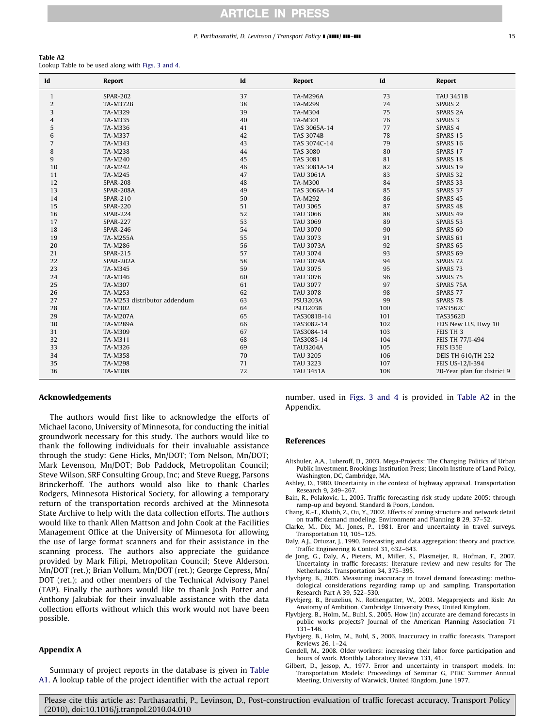### P. Parthasarathi, D. Levinson / Transport Policy  $\blacksquare$  ( $\blacksquare$ )  $\blacksquare$

### <span id="page-14-0"></span>Table A2

Lookup Table to be used along with [Figs. 3 and 4.](#page-4-0)

| Id             | Report                       | Id | Report           | Id  | <b>Report</b>               |
|----------------|------------------------------|----|------------------|-----|-----------------------------|
| $\mathbf{1}$   | <b>SPAR-202</b>              | 37 | <b>TA-M296A</b>  | 73  | <b>TAU 3451B</b>            |
| $\overline{c}$ | <b>TA-M372B</b>              | 38 | TA-M299          | 74  | SPARS <sub>2</sub>          |
| 3              | TA-M329                      | 39 | TA-M304          | 75  | <b>SPARS 2A</b>             |
| 4              | TA-M335                      | 40 | TA-M301          | 76  | SPARS <sub>3</sub>          |
| 5              | TA-M336                      | 41 | TAS 3065A-14     | 77  | SPARS 4                     |
| 6              | TA-M337                      | 42 | <b>TAS 3074B</b> | 78  | SPARS 15                    |
| $\overline{7}$ | TA-M343                      | 43 | TAS 3074C-14     | 79  | SPARS 16                    |
| 8              | TA-M238                      | 44 | <b>TAS 3080</b>  | 80  | SPARS 17                    |
| 9              | TA-M240                      | 45 | <b>TAS 3081</b>  | 81  | SPARS 18                    |
| 10             | TA-M242                      | 46 | TAS 3081A-14     | 82  | SPARS 19                    |
| 11             | TA-M245                      | 47 | <b>TAU 3061A</b> | 83  | SPARS 32                    |
| 12             | <b>SPAR-208</b>              | 48 | TA-M300          | 84  | SPARS 33                    |
| 13             | SPAR-208A                    | 49 | TAS 3066A-14     | 85  | SPARS 37                    |
| 14             | <b>SPAR-210</b>              | 50 | TA-M292          | 86  | SPARS 45                    |
| 15             | <b>SPAR-220</b>              | 51 | <b>TAU 3065</b>  | 87  | SPARS 48                    |
| 16             | <b>SPAR-224</b>              | 52 | <b>TAU 3066</b>  | 88  | SPARS 49                    |
| 17             | <b>SPAR-227</b>              | 53 | <b>TAU 3069</b>  | 89  | SPARS 53                    |
| 18             | <b>SPAR-246</b>              | 54 | <b>TAU 3070</b>  | 90  | SPARS 60                    |
| 19             | <b>TA-M255A</b>              | 55 | <b>TAU 3073</b>  | 91  | SPARS 61                    |
| 20             | TA-M286                      | 56 | <b>TAU 3073A</b> | 92  | SPARS 65                    |
| 21             | <b>SPAR-215</b>              | 57 | <b>TAU 3074</b>  | 93  | SPARS 69                    |
| 22             | SPAR-202A                    | 58 | <b>TAU 3074A</b> | 94  | SPARS <sub>72</sub>         |
| 23             | TA-M345                      | 59 | <b>TAU 3075</b>  | 95  | SPARS 73                    |
| 24             | TA-M346                      | 60 | <b>TAU 3076</b>  | 96  | SPARS 75                    |
| 25             | TA-M307                      | 61 | <b>TAU 3077</b>  | 97  | SPARS 75A                   |
| 26             | TA-M253                      | 62 | <b>TAU 3078</b>  | 98  | SPARS 77                    |
| 27             | TA-M253 distributor addendum | 63 | <b>PSU3203A</b>  | 99  | SPARS 78                    |
| 28             | TA-M302                      | 64 | <b>PSU3203B</b>  | 100 | <b>TAS3562C</b>             |
| 29             | <b>TA-M207A</b>              | 65 | TAS3081B-14      | 101 | <b>TAS3562D</b>             |
| 30             | <b>TA-M289A</b>              | 66 | TAS3082-14       | 102 | FEIS New U.S. Hwy 10        |
| 31             | TA-M309                      | 67 | TAS3084-14       | 103 | FEIS TH 3                   |
| 32             | TA-M311                      | 68 | TAS3085-14       | 104 | FEIS TH 77/I-494            |
| 33             | TA-M326                      | 69 | <b>TAU3204A</b>  | 105 | <b>FEIS 135E</b>            |
| 34             | TA-M358                      | 70 | <b>TAU 3205</b>  | 106 | <b>DEIS TH 610/TH 252</b>   |
| 35             | <b>TA-M298</b>               | 71 | <b>TAU 3223</b>  | 107 | FEIS US-12/I-394            |
| 36             | TA-M308                      | 72 | <b>TAU 3451A</b> | 108 | 20-Year plan for district 9 |

#### Acknowledgements

The authors would first like to acknowledge the efforts of Michael Iacono, University of Minnesota, for conducting the initial groundwork necessary for this study. The authors would like to thank the following individuals for their invaluable assistance through the study: Gene Hicks, Mn/DOT; Tom Nelson, Mn/DOT; Mark Levenson, Mn/DOT; Bob Paddock, Metropolitan Council; Steve Wilson, SRF Consulting Group, Inc; and Steve Ruegg, Parsons Brinckerhoff. The authors would also like to thank Charles Rodgers, Minnesota Historical Society, for allowing a temporary return of the transportation records archived at the Minnesota State Archive to help with the data collection efforts. The authors would like to thank Allen Mattson and John Cook at the Facilities Management Office at the University of Minnesota for allowing the use of large format scanners and for their assistance in the scanning process. The authors also appreciate the guidance provided by Mark Filipi, Metropolitan Council; Steve Alderson, Mn/DOT (ret.); Brian Vollum, Mn/DOT (ret.); George Cepress, Mn/ DOT (ret.); and other members of the Technical Advisory Panel (TAP). Finally the authors would like to thank Josh Potter and Anthony Jakubiak for their invaluable assistance with the data collection efforts without which this work would not have been possible.

## Appendix A

Summary of project reports in the database is given in [Table](#page-11-0) [A1.](#page-11-0) A lookup table of the project identifier with the actual report number, used in [Figs. 3 and 4](#page-4-0) is provided in Table A2 in the Appendix.

#### References

- Altshuler, A.A., Luberoff, D., 2003. Mega-Projects: The Changing Politics of Urban Public Investment. Brookings Institution Press; Lincoln Institute of Land Policy, Washington, DC, Cambridge, MA.
- Ashley, D., 1980. Uncertainty in the context of highway appraisal. Transportation Research 9, 249–267.
- Bain, R., Polakovic, L., 2005. Traffic forecasting risk study update 2005: through ramp-up and beyond. Standard & Poors, London.
- Chang, K.-T., Khatib, Z., Ou, Y., 2002. Effects of zoning structure and network detail on traffic demand modeling. Environment and Planning B 29, 37–52.
- Clarke, M., Dix, M., Jones, P., 1981. Eror and uncertainty in travel surveys. Transportation 10, 105–125.
- Daly, A.J., Ortuzar, J., 1990. Forecasting and data aggregation: theory and practice. Traffic Engineering & Control 31, 632–643.
- de Jong, G., Daly, A., Pieters, M., Miller, S., Plasmeijer, R., Hofman, F., 2007. Uncertainty in traffic forecasts: literature review and new results for The Netherlands. Transportation 34, 375–395.
- Flyvbjerg, B., 2005. Measuring inaccuracy in travel demand forecasting: methodological considerations regarding ramp up and sampling. Transportation Research Part A 39, 522–530.
- Flyvbjerg, B., Bruzelius, N., Rothengatter, W., 2003. Megaprojects and Risk: An Anatomy of Ambition. Cambridge University Press, United Kingdom.
- Flyvbjerg, B., Holm, M., Buhl, S., 2005. How (in) accurate are demand forecasts in public works projects? Journal of the American Planning Association 71 131–146.
- Flyvbjerg, B., Holm, M., Buhl, S., 2006. Inaccuracy in traffic forecasts. Transport Reviews 26, 1–24.
- Gendell, M., 2008. Older workers: increasing their labor force participation and hours of work. Monthly Laboratory Review 131, 41.
- Gilbert, D., Jessop, A., 1977. Error and uncertainty in transport models. In: Transportation Models: Proceedings of Seminar G, PTRC Summer Annual Meeting, University of Warwick, United Kingdom, June 1977.